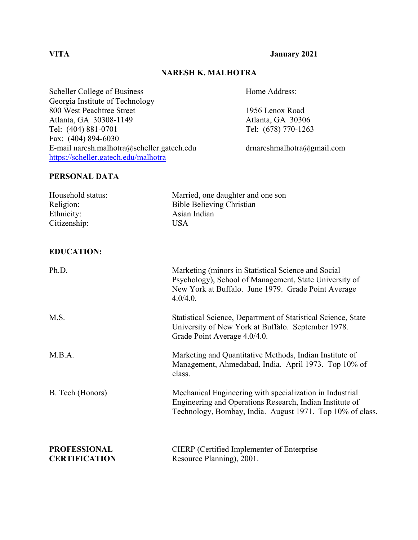**VITA January 2021**

#### **NARESH K. MALHOTRA**

Scheller College of Business Home Address: Georgia Institute of Technology 800 West Peachtree Street 1956 Lenox Road Atlanta, GA 30308-1149<br>
Tel: (404) 881-0701<br>
Tel: (678) 770-1263 Fax: (404) 894-6030 E-mail naresh.malhotra@scheller.gatech.edu drnareshmalhotra@gmail.com <https://scheller.gatech.edu/malhotra>

Tel: (678) 770-1263

## **PERSONAL DATA**

| Household status:<br>Religion:<br>Ethnicity:<br>Citizenship: | Married, one daughter and one son<br><b>Bible Believing Christian</b><br>Asian Indian<br><b>USA</b>                                                                               |
|--------------------------------------------------------------|-----------------------------------------------------------------------------------------------------------------------------------------------------------------------------------|
| <b>EDUCATION:</b>                                            |                                                                                                                                                                                   |
| Ph.D.                                                        | Marketing (minors in Statistical Science and Social<br>Psychology), School of Management, State University of<br>New York at Buffalo. June 1979. Grade Point Average<br>4.0/4.0.  |
| M.S.                                                         | Statistical Science, Department of Statistical Science, State<br>University of New York at Buffalo. September 1978.<br>Grade Point Average 4.0/4.0.                               |
| M.B.A.                                                       | Marketing and Quantitative Methods, Indian Institute of<br>Management, Ahmedabad, India. April 1973. Top 10% of<br>class.                                                         |
| B. Tech (Honors)                                             | Mechanical Engineering with specialization in Industrial<br>Engineering and Operations Research, Indian Institute of<br>Technology, Bombay, India. August 1971. Top 10% of class. |
| <b>PROFESSIONAL</b><br><b>CERTIFICATION</b>                  | <b>CIERP</b> (Certified Implementer of Enterprise<br>Resource Planning), 2001.                                                                                                    |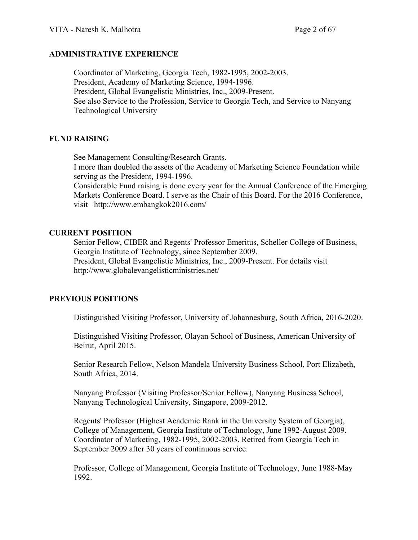#### **ADMINISTRATIVE EXPERIENCE**

Coordinator of Marketing, Georgia Tech, 1982-1995, 2002-2003. President, Academy of Marketing Science, 1994-1996. President, Global Evangelistic Ministries, Inc., 2009-Present. See also Service to the Profession, Service to Georgia Tech, and Service to Nanyang Technological University

#### **FUND RAISING**

See Management Consulting/Research Grants.

I more than doubled the assets of the Academy of Marketing Science Foundation while serving as the President, 1994-1996.

Considerable Fund raising is done every year for the Annual Conference of the Emerging Markets Conference Board. I serve as the Chair of this Board. For the 2016 Conference, visit http://www.embangkok2016.com/

#### **CURRENT POSITION**

Senior Fellow, CIBER and Regents' Professor Emeritus, Scheller College of Business, Georgia Institute of Technology, since September 2009. President, Global Evangelistic Ministries, Inc., 2009-Present. For details visit http://www.globalevangelisticministries.net/

## **PREVIOUS POSITIONS**

Distinguished Visiting Professor, University of Johannesburg, South Africa, 2016-2020.

Distinguished Visiting Professor, Olayan School of Business, American University of Beirut, April 2015.

Senior Research Fellow, Nelson Mandela University Business School, Port Elizabeth, South Africa, 2014.

Nanyang Professor (Visiting Professor/Senior Fellow), Nanyang Business School, Nanyang Technological University, Singapore, 2009-2012.

Regents' Professor (Highest Academic Rank in the University System of Georgia), College of Management, Georgia Institute of Technology, June 1992-August 2009. Coordinator of Marketing, 1982-1995, 2002-2003. Retired from Georgia Tech in September 2009 after 30 years of continuous service.

Professor, College of Management, Georgia Institute of Technology, June 1988-May 1992.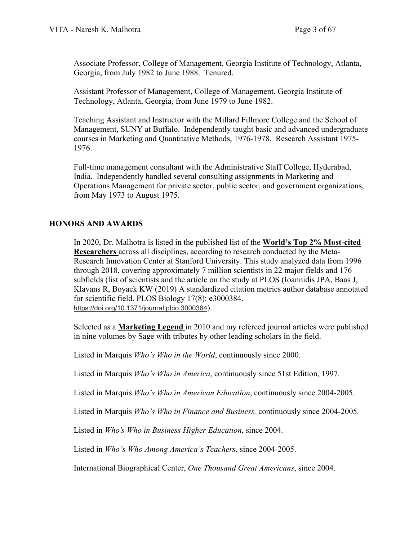Associate Professor, College of Management, Georgia Institute of Technology, Atlanta, Georgia, from July 1982 to June 1988. Tenured.

Assistant Professor of Management, College of Management, Georgia Institute of Technology, Atlanta, Georgia, from June 1979 to June 1982.

Teaching Assistant and Instructor with the Millard Fillmore College and the School of Management, SUNY at Buffalo. Independently taught basic and advanced undergraduate courses in Marketing and Quantitative Methods, 1976-1978. Research Assistant 1975- 1976.

Full-time management consultant with the Administrative Staff College, Hyderabad, India. Independently handled several consulting assignments in Marketing and Operations Management for private sector, public sector, and government organizations, from May 1973 to August 1975.

## **HONORS AND AWARDS**

In 2020, Dr. Malhotra is listed in the published list of the **World's Top 2% Most-cited Researchers** across all disciplines, according to research conducted by the Meta-Research Innovation Center at Stanford University. This study analyzed data from 1996 through 2018, covering approximately 7 million scientists in 22 major fields and 176 subfields (list of scientists and the article on the study at PLOS (Ioannidis JPA, Baas J, Klavans R, Boyack KW (2019) A standardized citation metrics author database annotated for scientific field. PLOS Biology 17(8): e3000384. <https://doi.org/10.1371/journal.pbio.3000384>).

Selected as a **Marketing Legend** in 2010 and my refereed journal articles were published in nine volumes by Sage with tributes by other leading scholars in the field.

Listed in Marquis *Who's Who in the World*, continuously since 2000.

Listed in Marquis *Who's Who in America*, continuously since 51st Edition, 1997.

Listed in Marquis *Who's Who in American Education*, continuously since 2004-2005.

Listed in Marquis *Who's Who in Finance and Business,* continuously since 2004-2005*.*

Listed in *Who's Who in Business Higher Education*, since 2004.

Listed in *Who's Who Among America's Teachers*, since 2004-2005.

International Biographical Center, *One Thousand Great Americans*, since 2004.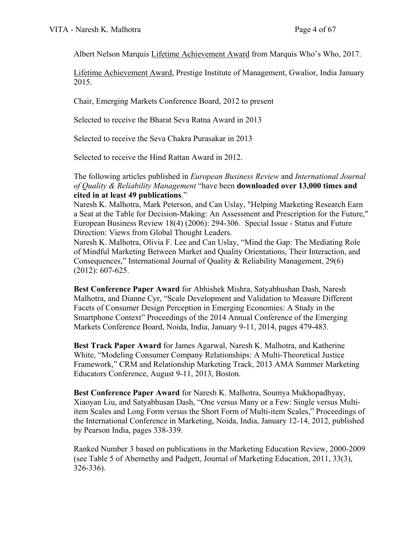Albert Nelson Marquis Lifetime Achievement Award from Marquis Who's Who, 2017.

Lifetime Achievement Award, Prestige Institute of Management, Gwalior, India January 2015.

Chair, Emerging Markets Conference Board, 2012 to present

Selected to receive the Bharat Seva Ratna Award in 2013

Selected to receive the Seva Chakra Purasakar in 2013

Selected to receive the Hind Rattan Award in 2012.

The following articles published in *European Business Review* and *International Journal of Quality & Reliability Management* "have been **downloaded over 13,000 times and cited in at least 49 publications**."

Naresh K. Malhotra, Mark Peterson, and Can Uslay, "Helping Marketing Research Earn a Seat at the Table for Decision-Making: An Assessment and Prescription for the Future," European Business Review 18(4) (2006): 294-306. Special Issue - Status and Future Direction: Views from Global Thought Leaders.

Naresh K. Malhotra, Olivia F. Lee and Can Uslay, "Mind the Gap: The Mediating Role of Mindful Marketing Between Market and Quality Orientations, Their Interaction, and Consequences," International Journal of Quality & Reliability Management, 29(6) (2012): 607-625.

**Best Conference Paper Award** for Abhishek Mishra, Satyabhushan Dash, Naresh Malhotra, and Dianne Cyr, "Scale Development and Validation to Measure Different Facets of Consumer Design Perception in Emerging Economies: A Study in the Smartphone Context" Proceedings of the 2014 Annual Conference of the Emerging Markets Conference Board, Noida, India, January 9-11, 2014, pages 479-483.

**Best Track Paper Award** for James Agarwal, Naresh K. Malhotra, and Katherine White, "Modeling Consumer Company Relationships: A Multi-Theoretical Justice Framework," CRM and Relationship Marketing Track, 2013 AMA Summer Marketing Educators Conference, August 9-11, 2013, Boston.

**Best Conference Paper Award** for Naresh K. Malhotra, Soumya Mukhopadhyay, Xiaoyan Liu, and Satyabhusan Dash, "One versus Many or a Few: Single versus Multiitem Scales and Long Form versus the Short Form of Multi-item Scales," Proceedings of the International Conference in Marketing, Noida, India, January 12-14, 2012, published by Pearson India, pages 338-339.

Ranked Number 3 based on publications in the Marketing Education Review, 2000-2009 (see Table 5 of Abernethy and Padgett, Journal of Marketing Education, 2011, 33(3), 326-336).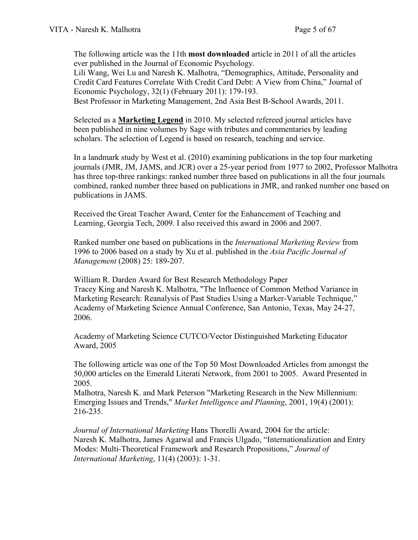The following article was the 11th **most downloaded** article in 2011 of all the articles ever published in the Journal of Economic Psychology.

Lili Wang, Wei Lu and Naresh K. Malhotra, "Demographics, Attitude, Personality and Credit Card Features Correlate With Credit Card Debt: A View from China," Journal of Economic Psychology, 32(1) (February 2011): 179-193.

Best Professor in Marketing Management, 2nd Asia Best B-School Awards, 2011.

Selected as a **Marketing Legend** in 2010. My selected refereed journal articles have been published in nine volumes by Sage with tributes and commentaries by leading scholars. The selection of Legend is based on research, teaching and service.

In a landmark study by West et al. (2010) examining publications in the top four marketing journals (JMR, JM, JAMS, and JCR) over a 25-year period from 1977 to 2002, Professor Malhotra has three top-three rankings: ranked number three based on publications in all the four journals combined, ranked number three based on publications in JMR, and ranked number one based on publications in JAMS.

Received the Great Teacher Award, Center for the Enhancement of Teaching and Learning, Georgia Tech, 2009. I also received this award in 2006 and 2007.

Ranked number one based on publications in the *International Marketing Review* from 1996 to 2006 based on a study by Xu et al. published in the *Asia Pacific Journal of Management* (2008) 25: 189-207.

William R. Darden Award for Best Research Methodology Paper Tracey King and Naresh K. Malhotra, "The Influence of Common Method Variance in Marketing Research: Reanalysis of Past Studies Using a Marker-Variable Technique," Academy of Marketing Science Annual Conference, San Antonio, Texas, May 24-27, 2006.

Academy of Marketing Science CUTCO/Vector Distinguished Marketing Educator Award, 2005

The following article was one of the Top 50 Most Downloaded Articles from amongst the 50,000 articles on the Emerald Literati Network, from 2001 to 2005. Award Presented in 2005.

Malhotra, Naresh K. and Mark Peterson "Marketing Research in the New Millennium: Emerging Issues and Trends," *Market Intelligence and Planning*, 2001, 19(4) (2001): 216-235.

*Journal of International Marketing* Hans Thorelli Award, 2004 for the article: Naresh K. Malhotra, James Agarwal and Francis Ulgado, "Internationalization and Entry Modes: Multi-Theoretical Framework and Research Propositions," *Journal of International Marketing*, 11(4) (2003): 1-31.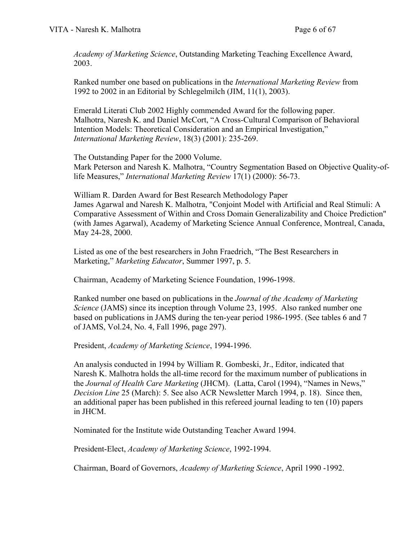*Academy of Marketing Science*, Outstanding Marketing Teaching Excellence Award, 2003.

Ranked number one based on publications in the *International Marketing Review* from 1992 to 2002 in an Editorial by Schlegelmilch (JIM, 11(1), 2003).

Emerald Literati Club 2002 Highly commended Award for the following paper. Malhotra, Naresh K. and Daniel McCort, "A Cross-Cultural Comparison of Behavioral Intention Models: Theoretical Consideration and an Empirical Investigation," *International Marketing Review*, 18(3) (2001): 235-269.

The Outstanding Paper for the 2000 Volume.

Mark Peterson and Naresh K. Malhotra, "Country Segmentation Based on Objective Quality-oflife Measures," *International Marketing Review* 17(1) (2000): 56-73.

William R. Darden Award for Best Research Methodology Paper James Agarwal and Naresh K. Malhotra, "Conjoint Model with Artificial and Real Stimuli: A Comparative Assessment of Within and Cross Domain Generalizability and Choice Prediction" (with James Agarwal), Academy of Marketing Science Annual Conference, Montreal, Canada, May 24-28, 2000.

Listed as one of the best researchers in John Fraedrich, "The Best Researchers in Marketing," *Marketing Educator*, Summer 1997, p. 5.

Chairman, Academy of Marketing Science Foundation, 1996-1998.

Ranked number one based on publications in the *Journal of the Academy of Marketing Science* (JAMS) since its inception through Volume 23, 1995. Also ranked number one based on publications in JAMS during the ten-year period 1986-1995. (See tables 6 and 7 of JAMS, Vol.24, No. 4, Fall 1996, page 297).

President, *Academy of Marketing Science*, 1994-1996.

An analysis conducted in 1994 by William R. Gombeski, Jr., Editor, indicated that Naresh K. Malhotra holds the all-time record for the maximum number of publications in the *Journal of Health Care Marketing* (JHCM). (Latta, Carol (1994), "Names in News," *Decision Line* 25 (March): 5. See also ACR Newsletter March 1994, p. 18). Since then, an additional paper has been published in this refereed journal leading to ten (10) papers in JHCM.

Nominated for the Institute wide Outstanding Teacher Award 1994.

President-Elect, *Academy of Marketing Science*, 1992-1994.

Chairman, Board of Governors, *Academy of Marketing Science*, April 1990 -1992.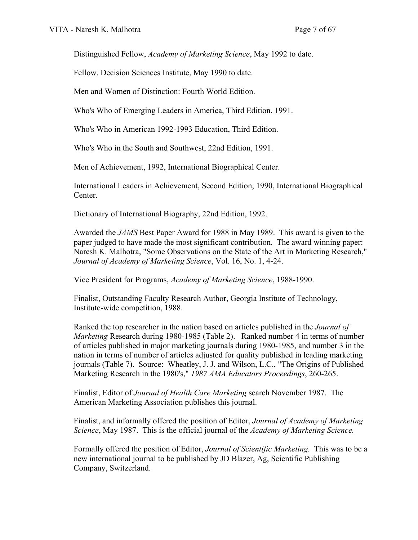Distinguished Fellow, *Academy of Marketing Science*, May 1992 to date.

Fellow, Decision Sciences Institute, May 1990 to date.

Men and Women of Distinction: Fourth World Edition.

Who's Who of Emerging Leaders in America, Third Edition, 1991.

Who's Who in American 1992-1993 Education, Third Edition.

Who's Who in the South and Southwest, 22nd Edition, 1991.

Men of Achievement, 1992, International Biographical Center.

International Leaders in Achievement, Second Edition, 1990, International Biographical Center.

Dictionary of International Biography, 22nd Edition, 1992.

Awarded the *JAMS* Best Paper Award for 1988 in May 1989. This award is given to the paper judged to have made the most significant contribution. The award winning paper: Naresh K. Malhotra, "Some Observations on the State of the Art in Marketing Research," *Journal of Academy of Marketing Science*, Vol. 16, No. 1, 4-24.

Vice President for Programs, *Academy of Marketing Science*, 1988-1990.

Finalist, Outstanding Faculty Research Author, Georgia Institute of Technology, Institute-wide competition, 1988.

Ranked the top researcher in the nation based on articles published in the *Journal of Marketing* Research during 1980-1985 (Table 2). Ranked number 4 in terms of number of articles published in major marketing journals during 1980-1985, and number 3 in the nation in terms of number of articles adjusted for quality published in leading marketing journals (Table 7). Source: Wheatley, J. J. and Wilson, L.C., "The Origins of Published Marketing Research in the 1980's," *1987 AMA Educators Proceedings*, 260-265.

Finalist, Editor of *Journal of Health Care Marketing* search November 1987. The American Marketing Association publishes this journal.

Finalist, and informally offered the position of Editor, *Journal of Academy of Marketing Science*, May 1987. This is the official journal of the *Academy of Marketing Science.*

Formally offered the position of Editor, *Journal of Scientific Marketing.* This was to be a new international journal to be published by JD Blazer, Ag, Scientific Publishing Company, Switzerland.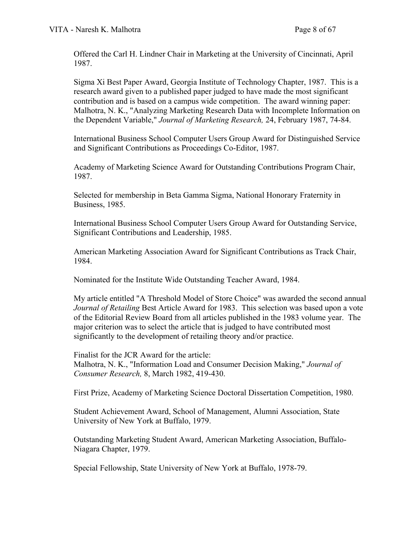Offered the Carl H. Lindner Chair in Marketing at the University of Cincinnati, April 1987.

Sigma Xi Best Paper Award, Georgia Institute of Technology Chapter, 1987. This is a research award given to a published paper judged to have made the most significant contribution and is based on a campus wide competition. The award winning paper: Malhotra, N. K., "Analyzing Marketing Research Data with Incomplete Information on the Dependent Variable," *Journal of Marketing Research,* 24, February 1987, 74-84.

International Business School Computer Users Group Award for Distinguished Service and Significant Contributions as Proceedings Co-Editor, 1987.

Academy of Marketing Science Award for Outstanding Contributions Program Chair, 1987.

Selected for membership in Beta Gamma Sigma, National Honorary Fraternity in Business, 1985.

International Business School Computer Users Group Award for Outstanding Service, Significant Contributions and Leadership, 1985.

American Marketing Association Award for Significant Contributions as Track Chair, 1984.

Nominated for the Institute Wide Outstanding Teacher Award, 1984.

My article entitled "A Threshold Model of Store Choice" was awarded the second annual *Journal of Retailing* Best Article Award for 1983. This selection was based upon a vote of the Editorial Review Board from all articles published in the 1983 volume year. The major criterion was to select the article that is judged to have contributed most significantly to the development of retailing theory and/or practice.

Finalist for the JCR Award for the article: Malhotra, N. K., "Information Load and Consumer Decision Making," *Journal of Consumer Research,* 8, March 1982, 419-430.

First Prize, Academy of Marketing Science Doctoral Dissertation Competition, 1980.

Student Achievement Award, School of Management, Alumni Association, State University of New York at Buffalo, 1979.

Outstanding Marketing Student Award, American Marketing Association, Buffalo-Niagara Chapter, 1979.

Special Fellowship, State University of New York at Buffalo, 1978-79.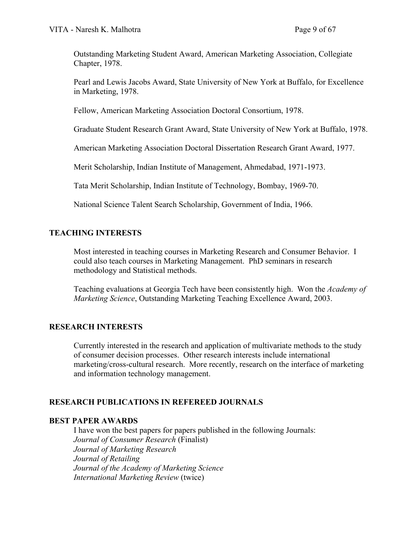Outstanding Marketing Student Award, American Marketing Association, Collegiate Chapter, 1978.

Pearl and Lewis Jacobs Award, State University of New York at Buffalo, for Excellence in Marketing, 1978.

Fellow, American Marketing Association Doctoral Consortium, 1978.

Graduate Student Research Grant Award, State University of New York at Buffalo, 1978.

American Marketing Association Doctoral Dissertation Research Grant Award, 1977.

Merit Scholarship, Indian Institute of Management, Ahmedabad, 1971-1973.

Tata Merit Scholarship, Indian Institute of Technology, Bombay, 1969-70.

National Science Talent Search Scholarship, Government of India, 1966.

## **TEACHING INTERESTS**

Most interested in teaching courses in Marketing Research and Consumer Behavior. I could also teach courses in Marketing Management. PhD seminars in research methodology and Statistical methods.

Teaching evaluations at Georgia Tech have been consistently high. Won the *Academy of Marketing Science*, Outstanding Marketing Teaching Excellence Award, 2003.

## **RESEARCH INTERESTS**

Currently interested in the research and application of multivariate methods to the study of consumer decision processes. Other research interests include international marketing/cross-cultural research. More recently, research on the interface of marketing and information technology management.

## **RESEARCH PUBLICATIONS IN REFEREED JOURNALS**

## **BEST PAPER AWARDS**

I have won the best papers for papers published in the following Journals: *Journal of Consumer Research* (Finalist) *Journal of Marketing Research Journal of Retailing Journal of the Academy of Marketing Science International Marketing Review* (twice)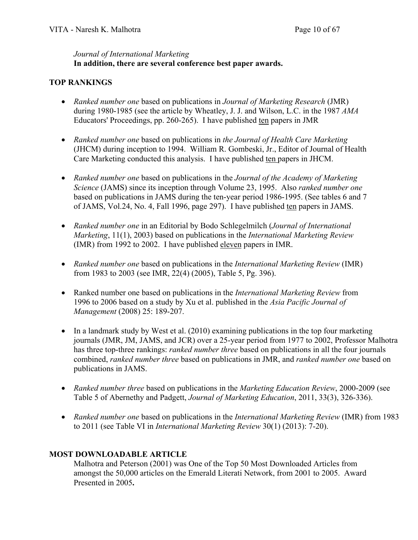## *Journal of International Marketing* **In addition, there are several conference best paper awards.**

## **TOP RANKINGS**

- *Ranked number one* based on publications in *Journal of Marketing Research* (JMR) during 1980-1985 (see the article by Wheatley, J. J. and Wilson, L.C. in the 1987 *AMA* Educators' Proceedings, pp. 260-265). I have published ten papers in JMR
- *Ranked number one* based on publications in *the Journal of Health Care Marketing* (JHCM) during inception to 1994. William R. Gombeski, Jr., Editor of Journal of Health Care Marketing conducted this analysis. I have published ten papers in JHCM.
- *Ranked number one* based on publications in the *Journal of the Academy of Marketing Science* (JAMS) since its inception through Volume 23, 1995. Also *ranked number one* based on publications in JAMS during the ten-year period 1986-1995. (See tables 6 and 7 of JAMS, Vol.24, No. 4, Fall 1996, page 297). I have published ten papers in JAMS.
- *Ranked number one* in an Editorial by Bodo Schlegelmilch (*Journal of International Marketing*, 11(1), 2003) based on publications in the *International Marketing Review* (IMR) from 1992 to 2002. I have published eleven papers in IMR.
- *Ranked number one* based on publications in the *International Marketing Review* (IMR) from 1983 to 2003 (see IMR, 22(4) (2005), Table 5, Pg. 396).
- Ranked number one based on publications in the *International Marketing Review* from 1996 to 2006 based on a study by Xu et al. published in the *Asia Pacific Journal of Management* (2008) 25: 189-207.
- In a landmark study by West et al. (2010) examining publications in the top four marketing journals (JMR, JM, JAMS, and JCR) over a 25-year period from 1977 to 2002, Professor Malhotra has three top-three rankings: *ranked number three* based on publications in all the four journals combined, *ranked number three* based on publications in JMR, and *ranked number one* based on publications in JAMS.
- *Ranked number three* based on publications in the *Marketing Education Review*, 2000-2009 (see Table 5 of Abernethy and Padgett, *Journal of Marketing Education*, 2011, 33(3), 326-336).
- *Ranked number one* based on publications in the *International Marketing Review* (IMR) from 1983 to 2011 (see Table VI in *International Marketing Review* 30(1) (2013): 7-20).

# **MOST DOWNLOADABLE ARTICLE**

Malhotra and Peterson (2001) was One of the Top 50 Most Downloaded Articles from amongst the 50,000 articles on the Emerald Literati Network, from 2001 to 2005. Award Presented in 2005**.**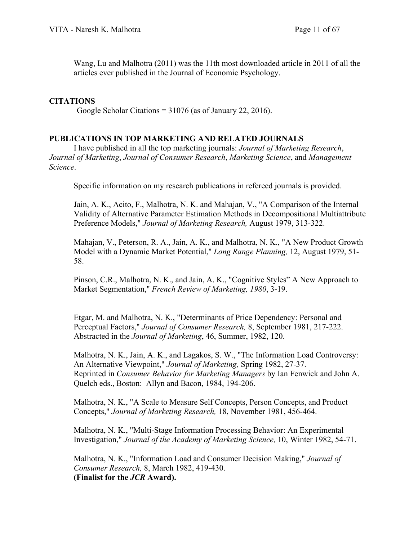Wang, Lu and Malhotra (2011) was the 11th most downloaded article in 2011 of all the articles ever published in the Journal of Economic Psychology.

## **CITATIONS**

Google Scholar Citations = 31076 (as of January 22, 2016).

## **PUBLICATIONS IN TOP MARKETING AND RELATED JOURNALS**

I have published in all the top marketing journals: *Journal of Marketing Research*, *Journal of Marketing*, *Journal of Consumer Research*, *Marketing Science*, and *Management Science*.

Specific information on my research publications in refereed journals is provided.

Jain, A. K., Acito, F., Malhotra, N. K. and Mahajan, V., "A Comparison of the Internal Validity of Alternative Parameter Estimation Methods in Decompositional Multiattribute Preference Models," *Journal of Marketing Research,* August 1979, 313-322.

Mahajan, V., Peterson, R. A., Jain, A. K., and Malhotra, N. K., "A New Product Growth Model with a Dynamic Market Potential," *Long Range Planning,* 12, August 1979, 51- 58.

Pinson, C.R., Malhotra, N. K., and Jain, A. K., "Cognitive Styles" A New Approach to Market Segmentation," *French Review of Marketing, 1980*, 3-19.

Etgar, M. and Malhotra, N. K., "Determinants of Price Dependency: Personal and Perceptual Factors," *Journal of Consumer Research,* 8, September 1981, 217-222. Abstracted in the *Journal of Marketing*, 46, Summer, 1982, 120.

Malhotra, N. K., Jain, A. K., and Lagakos, S. W., "The Information Load Controversy: An Alternative Viewpoint," *Journal of Marketing,* Spring 1982, 27-37. Reprinted in *Consumer Behavior for Marketing Managers* by Ian Fenwick and John A. Quelch eds., Boston: Allyn and Bacon, 1984, 194-206.

Malhotra, N. K., "A Scale to Measure Self Concepts, Person Concepts, and Product Concepts," *Journal of Marketing Research,* 18, November 1981, 456-464.

Malhotra, N. K., "Multi-Stage Information Processing Behavior: An Experimental Investigation," *Journal of the Academy of Marketing Science,* 10, Winter 1982, 54-71.

Malhotra, N. K., "Information Load and Consumer Decision Making," *Journal of Consumer Research,* 8, March 1982, 419-430. **(Finalist for the** *JCR* **Award).**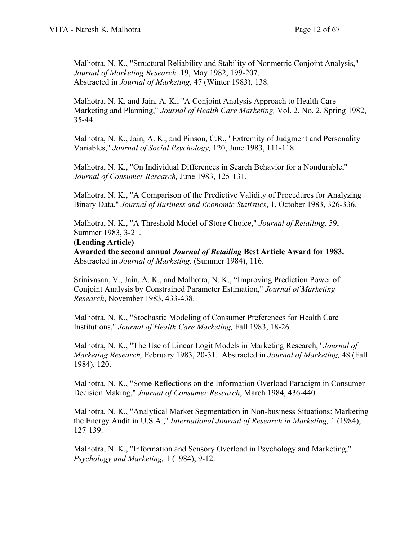Malhotra, N. K., "Structural Reliability and Stability of Nonmetric Conjoint Analysis," *Journal of Marketing Research,* 19, May 1982, 199-207. Abstracted in *Journal of Marketing*, 47 (Winter 1983), 138.

Malhotra, N. K. and Jain, A. K., "A Conjoint Analysis Approach to Health Care Marketing and Planning," *Journal of Health Care Marketing,* Vol. 2, No. 2, Spring 1982, 35-44.

Malhotra, N. K., Jain, A. K., and Pinson, C.R., "Extremity of Judgment and Personality Variables," *Journal of Social Psychology,* 120, June 1983, 111-118.

Malhotra, N. K., "On Individual Differences in Search Behavior for a Nondurable," *Journal of Consumer Research,* June 1983, 125-131.

Malhotra, N. K., "A Comparison of the Predictive Validity of Procedures for Analyzing Binary Data," *Journal of Business and Economic Statistics*, 1, October 1983, 326-336.

Malhotra, N. K., "A Threshold Model of Store Choice," *Journal of Retailing,* 59, Summer 1983, 3-21.

#### **(Leading Article)**

**Awarded the second annual** *Journal of Retailing* **Best Article Award for 1983.**  Abstracted in *Journal of Marketing,* (Summer 1984), 116.

Srinivasan, V., Jain, A. K., and Malhotra, N. K., "Improving Prediction Power of Conjoint Analysis by Constrained Parameter Estimation," *Journal of Marketing Research*, November 1983, 433-438.

Malhotra, N. K., "Stochastic Modeling of Consumer Preferences for Health Care Institutions," *Journal of Health Care Marketing,* Fall 1983, 18-26.

Malhotra, N. K., "The Use of Linear Logit Models in Marketing Research," *Journal of Marketing Research,* February 1983, 20-31. Abstracted in *Journal of Marketing,* 48 (Fall 1984), 120.

Malhotra, N. K., "Some Reflections on the Information Overload Paradigm in Consumer Decision Making," *Journal of Consumer Research*, March 1984, 436-440.

Malhotra, N. K., "Analytical Market Segmentation in Non-business Situations: Marketing the Energy Audit in U.S.A.," *International Journal of Research in Marketing,* 1 (1984), 127-139.

Malhotra, N. K., "Information and Sensory Overload in Psychology and Marketing," *Psychology and Marketing,* 1 (1984), 9-12.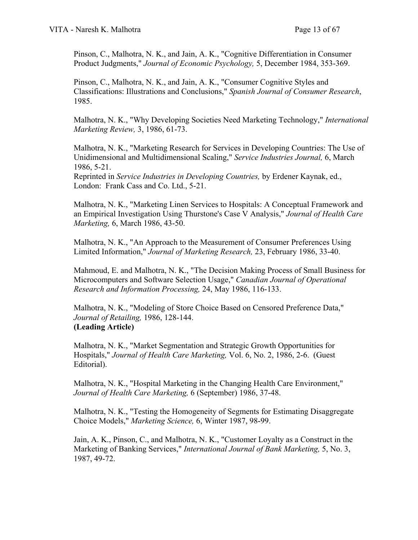Pinson, C., Malhotra, N. K., and Jain, A. K., "Cognitive Differentiation in Consumer Product Judgments," *Journal of Economic Psychology,* 5, December 1984, 353-369.

Pinson, C., Malhotra, N. K., and Jain, A. K., "Consumer Cognitive Styles and Classifications: Illustrations and Conclusions," *Spanish Journal of Consumer Research*, 1985.

Malhotra, N. K., "Why Developing Societies Need Marketing Technology," *International Marketing Review,* 3, 1986, 61-73.

Malhotra, N. K., "Marketing Research for Services in Developing Countries: The Use of Unidimensional and Multidimensional Scaling," *Service Industries Journal,* 6, March 1986, 5-21.

Reprinted in *Service Industries in Developing Countries,* by Erdener Kaynak, ed., London: Frank Cass and Co. Ltd., 5-21.

Malhotra, N. K., "Marketing Linen Services to Hospitals: A Conceptual Framework and an Empirical Investigation Using Thurstone's Case V Analysis," *Journal of Health Care Marketing,* 6, March 1986, 43-50.

Malhotra, N. K., "An Approach to the Measurement of Consumer Preferences Using Limited Information," *Journal of Marketing Research,* 23, February 1986, 33-40.

Mahmoud, E. and Malhotra, N. K., "The Decision Making Process of Small Business for Microcomputers and Software Selection Usage," *Canadian Journal of Operational Research and Information Processing,* 24, May 1986, 116-133.

Malhotra, N. K., "Modeling of Store Choice Based on Censored Preference Data," *Journal of Retailing,* 1986, 128-144. **(Leading Article)**

Malhotra, N. K., "Market Segmentation and Strategic Growth Opportunities for Hospitals," *Journal of Health Care Marketing,* Vol. 6, No. 2, 1986, 2-6. (Guest Editorial).

Malhotra, N. K., "Hospital Marketing in the Changing Health Care Environment," *Journal of Health Care Marketing,* 6 (September) 1986, 37-48.

Malhotra, N. K., "Testing the Homogeneity of Segments for Estimating Disaggregate Choice Models," *Marketing Science,* 6, Winter 1987, 98-99.

Jain, A. K., Pinson, C., and Malhotra, N. K., "Customer Loyalty as a Construct in the Marketing of Banking Services," *International Journal of Bank Marketing,* 5, No. 3, 1987, 49-72.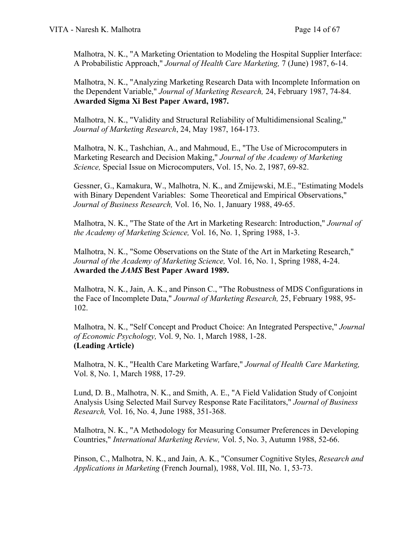Malhotra, N. K., "A Marketing Orientation to Modeling the Hospital Supplier Interface: A Probabilistic Approach," *Journal of Health Care Marketing,* 7 (June) 1987, 6-14.

Malhotra, N. K., "Analyzing Marketing Research Data with Incomplete Information on the Dependent Variable," *Journal of Marketing Research,* 24, February 1987, 74-84. **Awarded Sigma Xi Best Paper Award, 1987.** 

Malhotra, N. K., "Validity and Structural Reliability of Multidimensional Scaling," *Journal of Marketing Research*, 24, May 1987, 164-173.

Malhotra, N. K., Tashchian, A., and Mahmoud, E., "The Use of Microcomputers in Marketing Research and Decision Making," *Journal of the Academy of Marketing Science,* Special Issue on Microcomputers, Vol. 15, No. 2, 1987, 69-82.

Gessner, G., Kamakura, W., Malhotra, N. K., and Zmijewski, M.E., "Estimating Models with Binary Dependent Variables: Some Theoretical and Empirical Observations," *Journal of Business Research,* Vol. 16, No. 1, January 1988, 49-65.

Malhotra, N. K., "The State of the Art in Marketing Research: Introduction," *Journal of the Academy of Marketing Science,* Vol. 16, No. 1, Spring 1988, 1-3.

Malhotra, N. K., "Some Observations on the State of the Art in Marketing Research," *Journal of the Academy of Marketing Science,* Vol. 16, No. 1, Spring 1988, 4-24. **Awarded the** *JAMS* **Best Paper Award 1989.**

Malhotra, N. K., Jain, A. K., and Pinson C., "The Robustness of MDS Configurations in the Face of Incomplete Data," *Journal of Marketing Research,* 25, February 1988, 95- 102.

Malhotra, N. K., "Self Concept and Product Choice: An Integrated Perspective," *Journal of Economic Psychology,* Vol. 9, No. 1, March 1988, 1-28. **(Leading Article)**

Malhotra, N. K., "Health Care Marketing Warfare," *Journal of Health Care Marketing,* Vol. 8, No. 1, March 1988, 17-29.

Lund, D. B., Malhotra, N. K., and Smith, A. E., "A Field Validation Study of Conjoint Analysis Using Selected Mail Survey Response Rate Facilitators," *Journal of Business Research,* Vol. 16, No. 4, June 1988, 351-368.

Malhotra, N. K., "A Methodology for Measuring Consumer Preferences in Developing Countries," *International Marketing Review,* Vol. 5, No. 3, Autumn 1988, 52-66.

Pinson, C., Malhotra, N. K., and Jain, A. K., "Consumer Cognitive Styles, *Research and Applications in Marketing* (French Journal), 1988, Vol. III, No. 1, 53-73.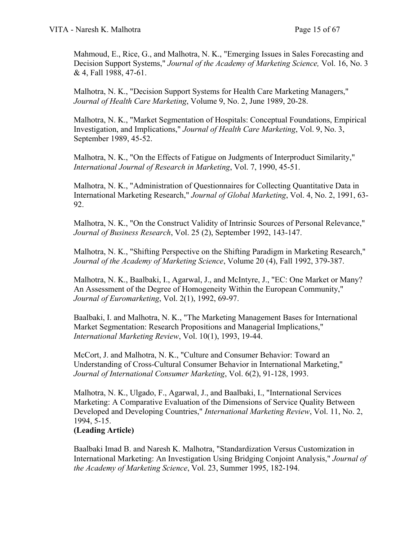Mahmoud, E., Rice, G., and Malhotra, N. K., "Emerging Issues in Sales Forecasting and Decision Support Systems," *Journal of the Academy of Marketing Science,* Vol. 16, No. 3 & 4, Fall 1988, 47-61.

Malhotra, N. K., "Decision Support Systems for Health Care Marketing Managers," *Journal of Health Care Marketing*, Volume 9, No. 2, June 1989, 20-28.

Malhotra, N. K., "Market Segmentation of Hospitals: Conceptual Foundations, Empirical Investigation, and Implications," *Journal of Health Care Marketing*, Vol. 9, No. 3, September 1989, 45-52.

Malhotra, N. K., "On the Effects of Fatigue on Judgments of Interproduct Similarity," *International Journal of Research in Marketing*, Vol. 7, 1990, 45-51.

Malhotra, N. K., "Administration of Questionnaires for Collecting Quantitative Data in International Marketing Research," *Journal of Global Marketing*, Vol. 4, No. 2, 1991, 63- 92.

Malhotra, N. K., "On the Construct Validity of Intrinsic Sources of Personal Relevance," *Journal of Business Research*, Vol. 25 (2), September 1992, 143-147.

Malhotra, N. K., "Shifting Perspective on the Shifting Paradigm in Marketing Research," *Journal of the Academy of Marketing Science*, Volume 20 (4), Fall 1992, 379-387.

Malhotra, N. K., Baalbaki, I., Agarwal, J., and McIntyre, J., "EC: One Market or Many? An Assessment of the Degree of Homogeneity Within the European Community," *Journal of Euromarketing*, Vol. 2(1), 1992, 69-97.

Baalbaki, I. and Malhotra, N. K., "The Marketing Management Bases for International Market Segmentation: Research Propositions and Managerial Implications," *International Marketing Review*, Vol. 10(1), 1993, 19-44.

McCort, J. and Malhotra, N. K., "Culture and Consumer Behavior: Toward an Understanding of Cross-Cultural Consumer Behavior in International Marketing," *Journal of International Consumer Marketing*, Vol. 6(2), 91-128, 1993.

Malhotra, N. K., Ulgado, F., Agarwal, J., and Baalbaki, I., "International Services Marketing: A Comparative Evaluation of the Dimensions of Service Quality Between Developed and Developing Countries," *International Marketing Review*, Vol. 11, No. 2, 1994, 5-15.

## **(Leading Article)**

Baalbaki Imad B. and Naresh K. Malhotra, "Standardization Versus Customization in International Marketing: An Investigation Using Bridging Conjoint Analysis," *Journal of the Academy of Marketing Science*, Vol. 23, Summer 1995, 182-194.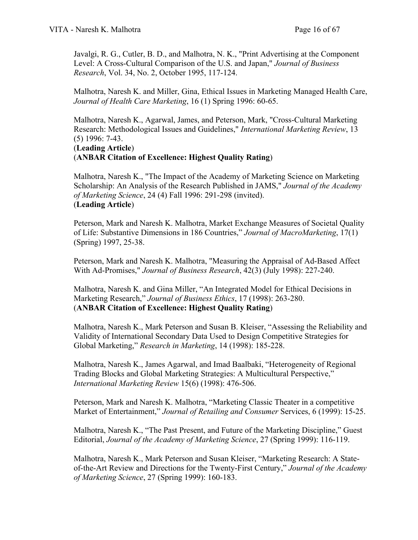Javalgi, R. G., Cutler, B. D., and Malhotra, N. K., "Print Advertising at the Component Level: A Cross-Cultural Comparison of the U.S. and Japan," *Journal of Business Research*, Vol. 34, No. 2, October 1995, 117-124.

Malhotra, Naresh K. and Miller, Gina, Ethical Issues in Marketing Managed Health Care, *Journal of Health Care Marketing*, 16 (1) Spring 1996: 60-65.

Malhotra, Naresh K., Agarwal, James, and Peterson, Mark, "Cross-Cultural Marketing Research: Methodological Issues and Guidelines," *International Marketing Review*, 13 (5) 1996: 7-43.

#### (**Leading Article**) (**ANBAR Citation of Excellence: Highest Quality Rating**)

Malhotra, Naresh K., "The Impact of the Academy of Marketing Science on Marketing Scholarship: An Analysis of the Research Published in JAMS," *Journal of the Academy of Marketing Science*, 24 (4) Fall 1996: 291-298 (invited). (**Leading Article**)

Peterson, Mark and Naresh K. Malhotra, Market Exchange Measures of Societal Quality of Life: Substantive Dimensions in 186 Countries," *Journal of MacroMarketing*, 17(1) (Spring) 1997, 25-38.

Peterson, Mark and Naresh K. Malhotra, "Measuring the Appraisal of Ad-Based Affect With Ad-Promises," *Journal of Business Research*, 42(3) (July 1998): 227-240.

Malhotra, Naresh K. and Gina Miller, "An Integrated Model for Ethical Decisions in Marketing Research," *Journal of Business Ethics*, 17 (1998): 263-280. (**ANBAR Citation of Excellence: Highest Quality Rating**)

Malhotra, Naresh K., Mark Peterson and Susan B. Kleiser, "Assessing the Reliability and Validity of International Secondary Data Used to Design Competitive Strategies for Global Marketing," *Research in Marketing*, 14 (1998): 185-228.

Malhotra, Naresh K., James Agarwal, and Imad Baalbaki, "Heterogeneity of Regional Trading Blocks and Global Marketing Strategies: A Multicultural Perspective," *International Marketing Review* 15(6) (1998): 476-506.

Peterson, Mark and Naresh K. Malhotra, "Marketing Classic Theater in a competitive Market of Entertainment," *Journal of Retailing and Consumer* Services, 6 (1999): 15-25.

Malhotra, Naresh K., "The Past Present, and Future of the Marketing Discipline," Guest Editorial, *Journal of the Academy of Marketing Science*, 27 (Spring 1999): 116-119.

Malhotra, Naresh K., Mark Peterson and Susan Kleiser, "Marketing Research: A Stateof-the-Art Review and Directions for the Twenty-First Century," *Journal of the Academy of Marketing Science*, 27 (Spring 1999): 160-183.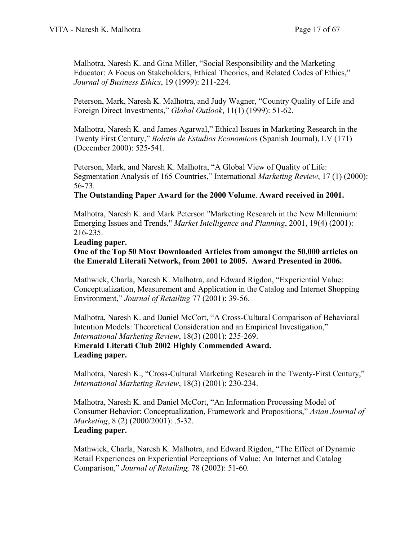Malhotra, Naresh K. and Gina Miller, "Social Responsibility and the Marketing Educator: A Focus on Stakeholders, Ethical Theories, and Related Codes of Ethics," *Journal of Business Ethics*, 19 (1999): 211-224.

Peterson, Mark, Naresh K. Malhotra, and Judy Wagner, "Country Quality of Life and Foreign Direct Investments," *Global Outlook*, 11(1) (1999): 51-62.

Malhotra, Naresh K. and James Agarwal," Ethical Issues in Marketing Research in the Twenty First Century," *Boletin de Estudios Economico*s (Spanish Journal), LV (171) (December 2000): 525-541.

Peterson, Mark, and Naresh K. Malhotra, "A Global View of Quality of Life: Segmentation Analysis of 165 Countries," International *Marketing Review*, 17 (1) (2000): 56-73.

## **The Outstanding Paper Award for the 2000 Volume**. **Award received in 2001.**

Malhotra, Naresh K. and Mark Peterson "Marketing Research in the New Millennium: Emerging Issues and Trends," *Market Intelligence and Planning*, 2001, 19(4) (2001): 216-235.

#### **Leading paper.**

## **One of the Top 50 Most Downloaded Articles from amongst the 50,000 articles on the Emerald Literati Network, from 2001 to 2005. Award Presented in 2006.**

Mathwick, Charla, Naresh K. Malhotra, and Edward Rigdon, "Experiential Value: Conceptualization, Measurement and Application in the Catalog and Internet Shopping Environment," *Journal of Retailing* 77 (2001): 39-56.

Malhotra, Naresh K. and Daniel McCort, "A Cross-Cultural Comparison of Behavioral Intention Models: Theoretical Consideration and an Empirical Investigation," *International Marketing Review*, 18(3) (2001): 235-269. **Emerald Literati Club 2002 Highly Commended Award. Leading paper.**

Malhotra, Naresh K., "Cross-Cultural Marketing Research in the Twenty-First Century," *International Marketing Review*, 18(3) (2001): 230-234.

Malhotra, Naresh K. and Daniel McCort, "An Information Processing Model of Consumer Behavior: Conceptualization, Framework and Propositions," *Asian Journal of Marketing*, 8 (2) (2000/2001): .5-32. **Leading paper.**

Mathwick, Charla, Naresh K. Malhotra, and Edward Rigdon, "The Effect of Dynamic Retail Experiences on Experiential Perceptions of Value: An Internet and Catalog Comparison," *Journal of Retailing,* 78 (2002): 51-60*.*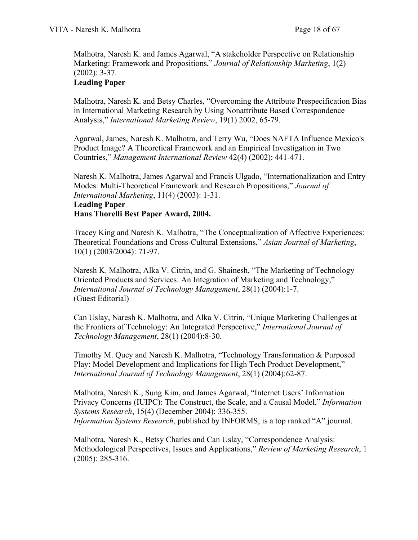Malhotra, Naresh K. and James Agarwal, "A stakeholder Perspective on Relationship Marketing: Framework and Propositions," *Journal of Relationship Marketing*, 1(2) (2002): 3-37.

## **Leading Paper**

Malhotra, Naresh K. and Betsy Charles, "Overcoming the Attribute Prespecification Bias in International Marketing Research by Using Nonattribute Based Correspondence Analysis," *International Marketing Review*, 19(1) 2002, 65-79.

Agarwal, James, Naresh K. Malhotra, and Terry Wu, "Does NAFTA Influence Mexico's Product Image? A Theoretical Framework and an Empirical Investigation in Two Countries," *Management International Review* 42(4) (2002): 441-471.

Naresh K. Malhotra, James Agarwal and Francis Ulgado, "Internationalization and Entry Modes: Multi-Theoretical Framework and Research Propositions," *Journal of International Marketing*, 11(4) (2003): 1-31. **Leading Paper Hans Thorelli Best Paper Award, 2004.**

Tracey King and Naresh K. Malhotra, "The Conceptualization of Affective Experiences: Theoretical Foundations and Cross-Cultural Extensions," *Asian Journal of Marketing*, 10(1) (2003/2004): 71-97.

Naresh K. Malhotra, Alka V. Citrin, and G. Shainesh, "The Marketing of Technology Oriented Products and Services: An Integration of Marketing and Technology," *International Journal of Technology Management*, 28(1) (2004):1-7. (Guest Editorial)

Can Uslay, Naresh K. Malhotra, and Alka V. Citrin, "Unique Marketing Challenges at the Frontiers of Technology: An Integrated Perspective," *International Journal of Technology Management*, 28(1) (2004):8-30.

Timothy M. Quey and Naresh K. Malhotra, "Technology Transformation & Purposed Play: Model Development and Implications for High Tech Product Development," *International Journal of Technology Management*, 28(1) (2004):62-87.

Malhotra, Naresh K., Sung Kim, and James Agarwal, "Internet Users' Information Privacy Concerns (IUIPC): The Construct, the Scale, and a Causal Model," *Information Systems Research*, 15(4) (December 2004): 336-355. *Information Systems Research*, published by INFORMS, is a top ranked "A" journal.

Malhotra, Naresh K., Betsy Charles and Can Uslay, "Correspondence Analysis: Methodological Perspectives, Issues and Applications," *Review of Marketing Research*, 1 (2005): 285-316.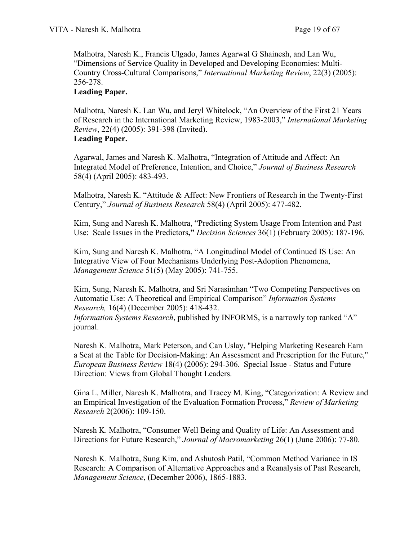Malhotra, Naresh K., Francis Ulgado, James Agarwal G Shainesh, and Lan Wu, "Dimensions of Service Quality in Developed and Developing Economies: Multi-Country Cross-Cultural Comparisons," *International Marketing Review*, 22(3) (2005): 256-278.

#### **Leading Paper.**

Malhotra, Naresh K. Lan Wu, and Jeryl Whitelock, "An Overview of the First 21 Years of Research in the International Marketing Review, 1983-2003," *International Marketing Review*, 22(4) (2005): 391-398 (Invited). **Leading Paper.**

Agarwal, James and Naresh K. Malhotra, "Integration of Attitude and Affect: An Integrated Model of Preference, Intention, and Choice," *Journal of Business Research* 58(4) (April 2005): 483-493.

Malhotra, Naresh K. "Attitude & Affect: New Frontiers of Research in the Twenty-First Century," *Journal of Business Research* 58(4) (April 2005): 477-482.

Kim, Sung and Naresh K. Malhotra, "Predicting System Usage From Intention and Past Use: Scale Issues in the Predictors**,"** *Decision Sciences* 36(1) (February 2005): 187-196.

Kim, Sung and Naresh K. Malhotra, "A Longitudinal Model of Continued IS Use: An Integrative View of Four Mechanisms Underlying Post-Adoption Phenomena, *Management Science* 51(5) (May 2005): 741-755.

Kim, Sung, Naresh K. Malhotra, and Sri Narasimhan "Two Competing Perspectives on Automatic Use: A Theoretical and Empirical Comparison" *Information Systems Research,* 16(4) (December 2005): 418-432. *Information Systems Research*, published by INFORMS, is a narrowly top ranked "A" journal.

Naresh K. Malhotra, Mark Peterson, and Can Uslay, "Helping Marketing Research Earn a Seat at the Table for Decision-Making: An Assessment and Prescription for the Future," *European Business Review* 18(4) (2006): 294-306. Special Issue - Status and Future Direction: Views from Global Thought Leaders.

Gina L. Miller, Naresh K. Malhotra, and Tracey M. King, "Categorization: A Review and an Empirical Investigation of the Evaluation Formation Process," *Review of Marketing Research* 2(2006): 109-150.

Naresh K. Malhotra, "Consumer Well Being and Quality of Life: An Assessment and Directions for Future Research," *Journal of Macromarketing* 26(1) (June 2006): 77-80.

Naresh K. Malhotra, Sung Kim, and Ashutosh Patil, "Common Method Variance in IS Research: A Comparison of Alternative Approaches and a Reanalysis of Past Research, *Management Science*, (December 2006), 1865-1883.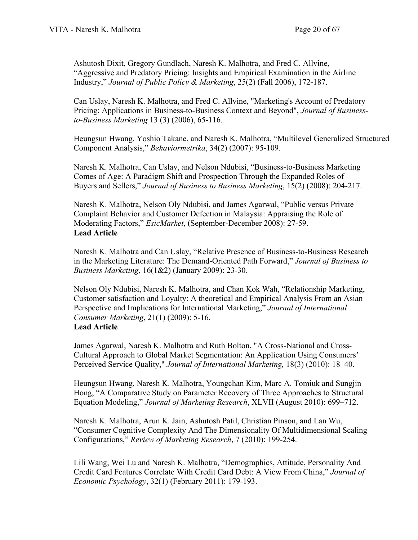Ashutosh Dixit, Gregory Gundlach, Naresh K. Malhotra, and Fred C. Allvine, "Aggressive and Predatory Pricing: Insights and Empirical Examination in the Airline Industry," *Journal of Public Policy & Marketing*, 25(2) (Fall 2006), 172-187.

Can Uslay, Naresh K. Malhotra, and Fred C. Allvine, "Marketing's Account of Predatory Pricing: Applications in Business-to-Business Context and Beyond", *Journal of Businessto-Business Marketing* 13 (3) (2006), 65-116.

Heungsun Hwang, Yoshio Takane, and Naresh K. Malhotra, "Multilevel Generalized Structured Component Analysis," *Behaviormetrika*, 34(2) (2007): 95-109.

Naresh K. Malhotra, Can Uslay, and Nelson Ndubisi, "Business-to-Business Marketing Comes of Age: A Paradigm Shift and Prospection Through the Expanded Roles of Buyers and Sellers," *Journal of Business to Business Marketing*, 15(2) (2008): 204-217.

Naresh K. Malhotra, Nelson Oly Ndubisi, and James Agarwal, "Public versus Private Complaint Behavior and Customer Defection in Malaysia: Appraising the Role of Moderating Factors," *EsicMarket*, (September-December 2008): 27-59. **Lead Article**

Naresh K. Malhotra and Can Uslay, "Relative Presence of Business-to-Business Research in the Marketing Literature: The Demand-Oriented Path Forward," *Journal of Business to Business Marketing*, 16(1&2) (January 2009): 23-30.

Nelson Oly Ndubisi, Naresh K. Malhotra, and Chan Kok Wah, "Relationship Marketing, Customer satisfaction and Loyalty: A theoretical and Empirical Analysis From an Asian Perspective and Implications for International Marketing," *Journal of International Consumer Marketing*, 21(1) (2009): 5-16. **Lead Article**

James Agarwal, Naresh K. Malhotra and Ruth Bolton, "A Cross-National and Cross-Cultural Approach to Global Market Segmentation: An Application Using Consumers' Perceived Service Quality," *Journal of International Marketing,* 18(3) (2010): 18–40.

Heungsun Hwang, Naresh K. Malhotra, Youngchan Kim, Marc A. Tomiuk and Sungjin Hong, "A Comparative Study on Parameter Recovery of Three Approaches to Structural Equation Modeling," *Journal of Marketing Research*, XLVII (August 2010): 699–712.

Naresh K. Malhotra, Arun K. Jain, Ashutosh Patil, Christian Pinson, and Lan Wu, "Consumer Cognitive Complexity And The Dimensionality Of Multidimensional Scaling Configurations," *Review of Marketing Research*, 7 (2010): 199-254.

Lili Wang, Wei Lu and Naresh K. Malhotra, "Demographics, Attitude, Personality And Credit Card Features Correlate With Credit Card Debt: A View From China," *Journal of Economic Psychology*, 32(1) (February 2011): 179-193.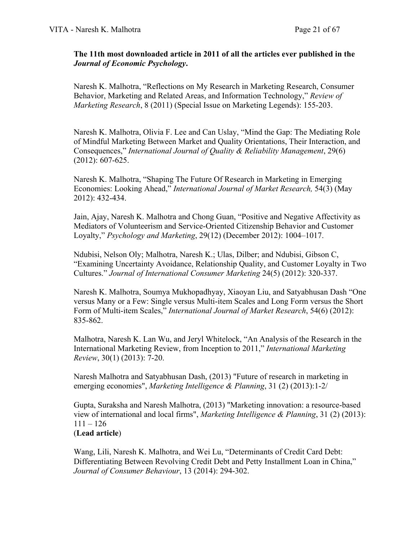#### **The 11th most downloaded article in 2011 of all the articles ever published in the**  *Journal of Economic Psychology***.**

Naresh K. Malhotra, "Reflections on My Research in Marketing Research, Consumer Behavior, Marketing and Related Areas, and Information Technology," *Review of Marketing Research*, 8 (2011) (Special Issue on Marketing Legends): 155-203.

Naresh K. Malhotra, Olivia F. Lee and Can Uslay, "Mind the Gap: The Mediating Role of Mindful Marketing Between Market and Quality Orientations, Their Interaction, and Consequences," *International Journal of Quality & Reliability Management*, 29(6) (2012): 607-625.

Naresh K. Malhotra, "Shaping The Future Of Research in Marketing in Emerging Economies: Looking Ahead," *International Journal of Market Research,* 54(3) (May 2012): 432-434.

Jain, Ajay, Naresh K. Malhotra and Chong Guan, "Positive and Negative Affectivity as Mediators of Volunteerism and Service-Oriented Citizenship Behavior and Customer Loyalty," *Psychology and Marketing*, 29(12) (December 2012): 1004–1017.

Ndubisi, Nelson Oly; Malhotra, Naresh K.; Ulas, Dilber; and Ndubisi, Gibson C, "Examining Uncertainty Avoidance, Relationship Quality, and Customer Loyalty in Two Cultures." *Journal of International Consumer Marketing* 24(5) (2012): 320-337.

Naresh K. Malhotra, Soumya Mukhopadhyay, Xiaoyan Liu, and Satyabhusan Dash "One versus Many or a Few: Single versus Multi-item Scales and Long Form versus the Short Form of Multi-item Scales," *International Journal of Market Research*, 54(6) (2012): 835-862.

Malhotra, Naresh K. Lan Wu, and Jeryl Whitelock, "An Analysis of the Research in the International Marketing Review, from Inception to 2011," *International Marketing Review*, 30(1) (2013): 7-20.

Naresh Malhotra and Satyabhusan Dash, (2013) "Future of research in marketing in emerging economies", *Marketing Intelligence & Planning*, 31 (2) (2013):1-2/

Gupta, Suraksha and Naresh Malhotra, (2013) "Marketing innovation: a resource-based view of international and local firms", *Marketing Intelligence & Planning*, 31 (2) (2013):  $111 - 126$ (**Lead article**)

Wang, Lili, Naresh K. Malhotra, and Wei Lu, "Determinants of Credit Card Debt: Differentiating Between Revolving Credit Debt and Petty Installment Loan in China," *Journal of Consumer Behaviour*, 13 (2014): 294-302.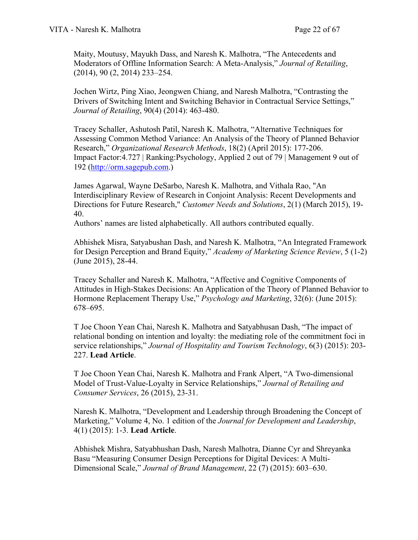Maity, Moutusy, Mayukh Dass, and Naresh K. Malhotra, "The Antecedents and Moderators of Offline Information Search: A Meta-Analysis," *Journal of Retailing*, (2014), 90 (2, 2014) 233–254.

Jochen Wirtz, Ping Xiao, Jeongwen Chiang, and Naresh Malhotra, "Contrasting the Drivers of Switching Intent and Switching Behavior in Contractual Service Settings," *Journal of Retailing*, 90(4) (2014): 463-480.

Tracey Schaller, Ashutosh Patil, Naresh K. Malhotra, "Alternative Techniques for Assessing Common Method Variance: An Analysis of the Theory of Planned Behavior Research," *Organizational Research Methods*, 18(2) (April 2015): 177-206. Impact Factor:4.727 | Ranking:Psychology, Applied 2 out of 79 | Management 9 out of 192 [\(http://orm.sagepub.com.](http://orm.sagepub.com/))

James Agarwal, Wayne DeSarbo, Naresh K. Malhotra, and Vithala Rao, "An Interdisciplinary Review of Research in Conjoint Analysis: Recent Developments and Directions for Future Research," *Customer Needs and Solutions*, 2(1) (March 2015), 19- 40.

Authors' names are listed alphabetically. All authors contributed equally.

Abhishek Misra, Satyabushan Dash, and Naresh K. Malhotra, "An Integrated Framework for Design Perception and Brand Equity," *Academy of Marketing Science Review*, 5 (1-2) (June 2015), 28-44.

Tracey Schaller and Naresh K. Malhotra, "Affective and Cognitive Components of Attitudes in High-Stakes Decisions: An Application of the Theory of Planned Behavior to Hormone Replacement Therapy Use," *Psychology and Marketing*, 32(6): (June 2015): 678–695.

T Joe Choon Yean Chai, Naresh K. Malhotra and Satyabhusan Dash, "The impact of relational bonding on intention and loyalty: the mediating role of the commitment foci in service relationships," *Journal of Hospitality and Tourism Technology*, 6(3) (2015): 203- 227. **Lead Article**.

T Joe Choon Yean Chai, Naresh K. Malhotra and Frank Alpert, "A Two-dimensional Model of Trust-Value-Loyalty in Service Relationships," *Journal of Retailing and Consumer Services*, 26 (2015), 23-31.

Naresh K. Malhotra, "Development and Leadership through Broadening the Concept of Marketing," Volume 4, No. 1 edition of the *Journal for Development and Leadership*, 4(1) (2015): 1-3. **Lead Article**.

Abhishek Mishra, Satyabhushan Dash, Naresh Malhotra, Dianne Cyr and Shreyanka Basu "Measuring Consumer Design Perceptions for Digital Devices: A Multi-Dimensional Scale," *Journal of Brand Management*, 22 (7) (2015): 603–630.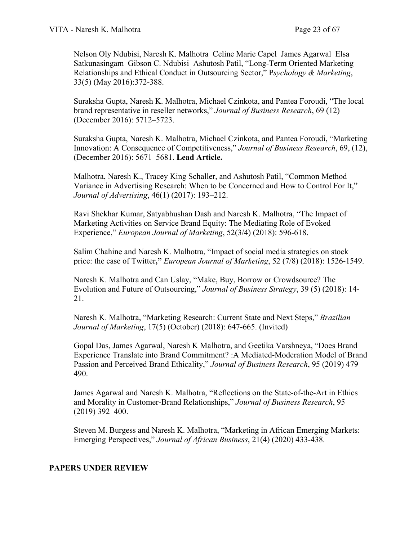Nelson Oly Ndubisi, Naresh K. Malhotra Celine Marie Capel James Agarwal Elsa Satkunasingam Gibson C. Ndubisi Ashutosh Patil, "Long‐Term Oriented Marketing Relationships and Ethical Conduct in Outsourcing Sector," P*sychology & Marketing*, 33(5) (May 2016):372-388.

Suraksha Gupta, Naresh K. Malhotra, Michael Czinkota, and Pantea Foroudi, "The local brand representative in reseller networks," *Journal of Business Research*, 69 (12) (December 2016): 5712–5723.

Suraksha Gupta, Naresh K. Malhotra, Michael Czinkota, and Pantea Foroudi, "Marketing Innovation: A Consequence of Competitiveness," *Journal of Business Research*, 69, (12), (December 2016): 5671–5681. **Lead Article.**

Malhotra, Naresh K., Tracey King Schaller, and Ashutosh Patil, "Common Method Variance in Advertising Research: When to be Concerned and How to Control For It," *Journal of Advertising*, 46(1) (2017): 193–212.

Ravi Shekhar Kumar, Satyabhushan Dash and Naresh K. Malhotra, "The Impact of Marketing Activities on Service Brand Equity: The Mediating Role of Evoked Experience," *European Journal of Marketing*, 52(3/4) (2018): 596-618.

Salim Chahine and Naresh K. Malhotra, "Impact of social media strategies on stock price: the case of Twitter**,"** *European Journal of Marketing*, 52 (7/8) (2018): 1526-1549.

Naresh K. Malhotra and Can Uslay, "Make, Buy, Borrow or Crowdsource? The Evolution and Future of Outsourcing," *Journal of Business Strategy*, 39 (5) (2018): 14- 21.

Naresh K. Malhotra, "Marketing Research: Current State and Next Steps," *Brazilian Journal of Marketing*, 17(5) (October) (2018): 647-665. (Invited)

Gopal Das, James Agarwal, Naresh K Malhotra, and Geetika Varshneya, "Does Brand Experience Translate into Brand Commitment? :A Mediated-Moderation Model of Brand Passion and Perceived Brand Ethicality," *Journal of Business Research*, 95 (2019) 479– 490.

James Agarwal and Naresh K. Malhotra, "Reflections on the State-of-the-Art in Ethics and Morality in Customer-Brand Relationships," *Journal of Business Research*, 95 (2019) 392–400.

Steven M. Burgess and Naresh K. Malhotra, "Marketing in African Emerging Markets: Emerging Perspectives," *Journal of African Business*, 21(4) (2020) 433-438.

# **PAPERS UNDER REVIEW**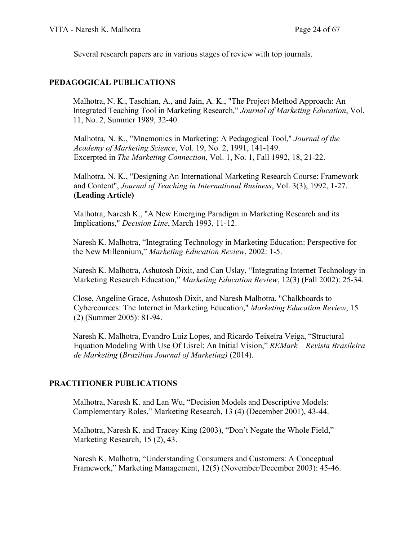Several research papers are in various stages of review with top journals.

## **PEDAGOGICAL PUBLICATIONS**

Malhotra, N. K., Taschian, A., and Jain, A. K., "The Project Method Approach: An Integrated Teaching Tool in Marketing Research," *Journal of Marketing Education*, Vol. 11, No. 2, Summer 1989, 32-40.

Malhotra, N. K., "Mnemonics in Marketing: A Pedagogical Tool," *Journal of the Academy of Marketing Science*, Vol. 19, No. 2, 1991, 141-149. Excerpted in *The Marketing Connection*, Vol. 1, No. 1, Fall 1992, 18, 21-22.

Malhotra, N. K., "Designing An International Marketing Research Course: Framework and Content", *Journal of Teaching in International Business*, Vol. 3(3), 1992, 1-27. **(Leading Article)**

Malhotra, Naresh K., "A New Emerging Paradigm in Marketing Research and its Implications," *Decision Line*, March 1993, 11-12.

Naresh K. Malhotra, "Integrating Technology in Marketing Education: Perspective for the New Millennium," *Marketing Education Review*, 2002: 1-5.

Naresh K. Malhotra, Ashutosh Dixit, and Can Uslay, "Integrating Internet Technology in Marketing Research Education," *Marketing Education Review*, 12(3) (Fall 2002): 25-34.

Close, Angeline Grace, Ashutosh Dixit, and Naresh Malhotra, "Chalkboards to Cybercources: The Internet in Marketing Education," *Marketing Education Review*, 15 (2) (Summer 2005): 81-94.

Naresh K. Malhotra, Evandro Luiz Lopes, and Ricardo Teixeira Veiga, "Structural Equation Modeling With Use Of Lisrel: An Initial Vision," *REMark – Revista Brasileira de Marketing* (*Brazilian Journal of Marketing)* (2014).

# **PRACTITIONER PUBLICATIONS**

Malhotra, Naresh K. and Lan Wu, "Decision Models and Descriptive Models: Complementary Roles," Marketing Research, 13 (4) (December 2001), 43-44.

Malhotra, Naresh K. and Tracey King (2003), "Don't Negate the Whole Field," Marketing Research, 15 (2), 43.

Naresh K. Malhotra, "Understanding Consumers and Customers: A Conceptual Framework," Marketing Management, 12(5) (November/December 2003): 45-46.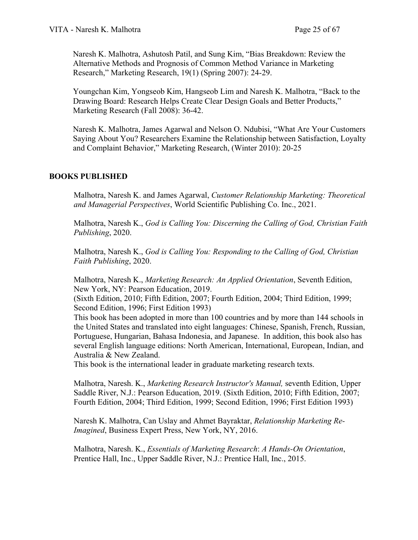Naresh K. Malhotra, Ashutosh Patil, and Sung Kim, "Bias Breakdown: Review the Alternative Methods and Prognosis of Common Method Variance in Marketing Research," Marketing Research, 19(1) (Spring 2007): 24-29.

Youngchan Kim, Yongseob Kim, Hangseob Lim and Naresh K. Malhotra, "Back to the Drawing Board: Research Helps Create Clear Design Goals and Better Products," Marketing Research (Fall 2008): 36-42.

Naresh K. Malhotra, James Agarwal and Nelson O. Ndubisi, "What Are Your Customers Saying About You? Researchers Examine the Relationship between Satisfaction, Loyalty and Complaint Behavior," Marketing Research, (Winter 2010): 20-25

## **BOOKS PUBLISHED**

Malhotra, Naresh K. and James Agarwal, *Customer Relationship Marketing: Theoretical and Managerial Perspectives*, World Scientific Publishing Co. Inc., 2021.

Malhotra, Naresh K., *God is Calling You: Discerning the Calling of God, Christian Faith Publishing*, 2020.

Malhotra, Naresh K., *God is Calling You: Responding to the Calling of God, Christian Faith Publishing*, 2020.

Malhotra, Naresh K., *Marketing Research: An Applied Orientation*, Seventh Edition, New York, NY: Pearson Education, 2019.

(Sixth Edition, 2010; Fifth Edition, 2007; Fourth Edition, 2004; Third Edition, 1999; Second Edition, 1996; First Edition 1993)

This book has been adopted in more than 100 countries and by more than 144 schools in the United States and translated into eight languages: Chinese, Spanish, French, Russian, Portuguese, Hungarian, Bahasa Indonesia, and Japanese. In addition, this book also has several English language editions: North American, International, European, Indian, and Australia & New Zealand.

This book is the international leader in graduate marketing research texts.

Malhotra, Naresh. K., *Marketing Research Instructor's Manual,* seventh Edition, Upper Saddle River, N.J.: Pearson Education, 2019. (Sixth Edition, 2010; Fifth Edition, 2007; Fourth Edition, 2004; Third Edition, 1999; Second Edition, 1996; First Edition 1993)

Naresh K. Malhotra, Can Uslay and Ahmet Bayraktar, *Relationship Marketing Re-Imagined*, Business Expert Press, New York, NY, 2016.

Malhotra, Naresh. K., *Essentials of Marketing Research*: *A Hands-On Orientation*, Prentice Hall, Inc., Upper Saddle River, N.J.: Prentice Hall, Inc., 2015.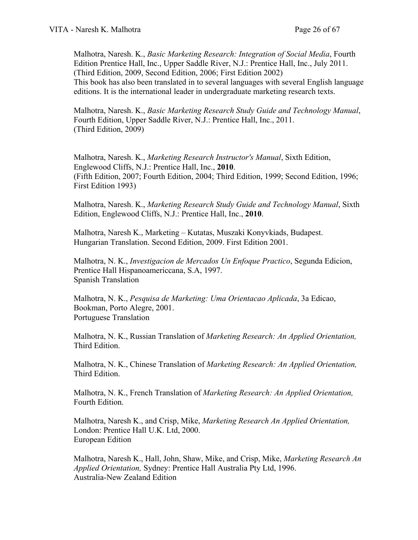Malhotra, Naresh. K., *Basic Marketing Research: Integration of Social Media*, Fourth Edition Prentice Hall, Inc., Upper Saddle River, N.J.: Prentice Hall, Inc., July 2011. (Third Edition, 2009, Second Edition, 2006; First Edition 2002) This book has also been translated in to several languages with several English language editions. It is the international leader in undergraduate marketing research texts.

Malhotra, Naresh. K., *Basic Marketing Research Study Guide and Technology Manual*, Fourth Edition, Upper Saddle River, N.J.: Prentice Hall, Inc., 2011. (Third Edition, 2009)

Malhotra, Naresh. K., *Marketing Research Instructor's Manual*, Sixth Edition, Englewood Cliffs, N.J.: Prentice Hall, Inc., **2010**. (Fifth Edition, 2007; Fourth Edition, 2004; Third Edition, 1999; Second Edition, 1996; First Edition 1993)

Malhotra, Naresh. K., *Marketing Research Study Guide and Technology Manual*, Sixth Edition, Englewood Cliffs, N.J.: Prentice Hall, Inc., **2010**.

Malhotra, Naresh K., Marketing – Kutatas, Muszaki Konyvkiads, Budapest. Hungarian Translation. Second Edition, 2009. First Edition 2001.

Malhotra, N. K., *Investigacion de Mercados Un Enfoque Practico*, Segunda Edicion, Prentice Hall Hispanoamericcana, S.A, 1997. Spanish Translation

Malhotra, N. K., *Pesquisa de Marketing: Uma Orientacao Aplicada*, 3a Edicao, Bookman, Porto Alegre, 2001. Portuguese Translation

Malhotra, N. K., Russian Translation of *Marketing Research: An Applied Orientation,*  Third Edition.

Malhotra, N. K., Chinese Translation of *Marketing Research: An Applied Orientation,*  Third Edition.

Malhotra, N. K., French Translation of *Marketing Research: An Applied Orientation,*  Fourth Edition.

Malhotra, Naresh K., and Crisp, Mike, *Marketing Research An Applied Orientation,*  London: Prentice Hall U.K. Ltd, 2000. European Edition

Malhotra, Naresh K., Hall, John, Shaw, Mike, and Crisp, Mike, *Marketing Research An Applied Orientation,* Sydney: Prentice Hall Australia Pty Ltd, 1996. Australia-New Zealand Edition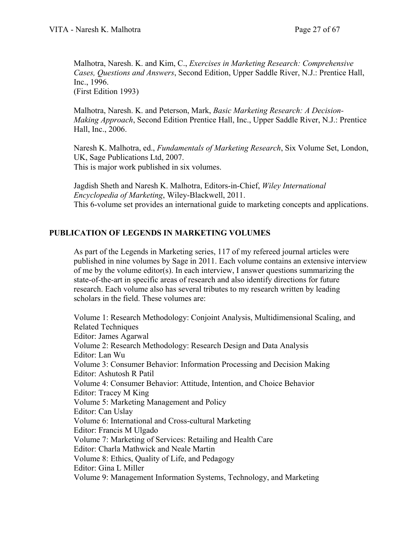Malhotra, Naresh. K. and Kim, C., *Exercises in Marketing Research: Comprehensive Cases, Questions and Answers*, Second Edition, Upper Saddle River, N.J.: Prentice Hall, Inc., 1996. (First Edition 1993)

Malhotra, Naresh. K. and Peterson, Mark, *Basic Marketing Research: A Decision-Making Approach*, Second Edition Prentice Hall, Inc., Upper Saddle River, N.J.: Prentice Hall, Inc., 2006.

Naresh K. Malhotra, ed., *Fundamentals of Marketing Research*, Six Volume Set, London, UK, Sage Publications Ltd, 2007. This is major work published in six volumes.

Jagdish Sheth and Naresh K. Malhotra, Editors-in-Chief, *Wiley International Encyclopedia of Marketing*, Wiley-Blackwell, 2011. This 6-volume set provides an international guide to marketing concepts and applications.

## **PUBLICATION OF LEGENDS IN MARKETING VOLUMES**

As part of the Legends in Marketing series, 117 of my refereed journal articles were published in nine volumes by Sage in 2011. Each volume contains an extensive interview of me by the volume editor(s). In each interview, I answer questions summarizing the state-of-the-art in specific areas of research and also identify directions for future research. Each volume also has several tributes to my research written by leading scholars in the field. These volumes are:

Volume 1: Research Methodology: Conjoint Analysis, Multidimensional Scaling, and Related Techniques Editor: James Agarwal Volume 2: Research Methodology: Research Design and Data Analysis Editor: Lan Wu Volume 3: Consumer Behavior: Information Processing and Decision Making Editor: Ashutosh R Patil Volume 4: Consumer Behavior: Attitude, Intention, and Choice Behavior Editor: Tracey M King Volume 5: Marketing Management and Policy Editor: Can Uslay Volume 6: International and Cross-cultural Marketing Editor: Francis M Ulgado Volume 7: Marketing of Services: Retailing and Health Care Editor: Charla Mathwick and Neale Martin Volume 8: Ethics, Quality of Life, and Pedagogy Editor: Gina L Miller Volume 9: Management Information Systems, Technology, and Marketing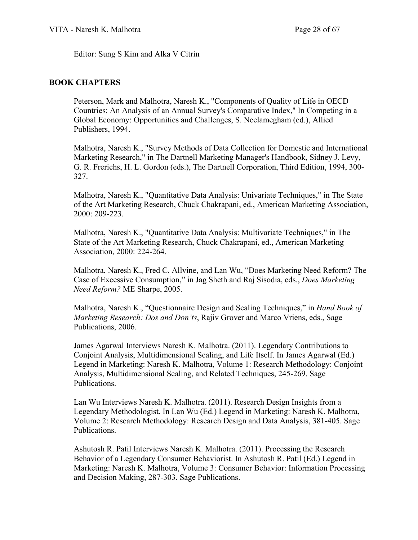Editor: Sung S Kim and Alka V Citrin

#### **BOOK CHAPTERS**

Peterson, Mark and Malhotra, Naresh K., "Components of Quality of Life in OECD Countries: An Analysis of an Annual Survey's Comparative Index," In Competing in a Global Economy: Opportunities and Challenges, S. Neelamegham (ed.), Allied Publishers, 1994.

Malhotra, Naresh K., "Survey Methods of Data Collection for Domestic and International Marketing Research," in The Dartnell Marketing Manager's Handbook, Sidney J. Levy, G. R. Frerichs, H. L. Gordon (eds.), The Dartnell Corporation, Third Edition, 1994, 300- 327.

Malhotra, Naresh K., "Quantitative Data Analysis: Univariate Techniques," in The State of the Art Marketing Research, Chuck Chakrapani, ed., American Marketing Association, 2000: 209-223.

Malhotra, Naresh K., "Quantitative Data Analysis: Multivariate Techniques," in The State of the Art Marketing Research, Chuck Chakrapani, ed., American Marketing Association, 2000: 224-264.

Malhotra, Naresh K., Fred C. Allvine, and Lan Wu, "Does Marketing Need Reform? The Case of Excessive Consumption," in Jag Sheth and Raj Sisodia, eds., *Does Marketing Need Reform?* ME Sharpe, 2005.

Malhotra, Naresh K., "Questionnaire Design and Scaling Techniques," in *Hand Book of Marketing Research: Dos and Don'ts*, Rajiv Grover and Marco Vriens, eds., Sage Publications, 2006.

James Agarwal Interviews Naresh K. Malhotra. (2011). Legendary Contributions to Conjoint Analysis, Multidimensional Scaling, and Life Itself. In James Agarwal (Ed.) Legend in Marketing: Naresh K. Malhotra, Volume 1: Research Methodology: Conjoint Analysis, Multidimensional Scaling, and Related Techniques, 245-269. Sage Publications.

Lan Wu Interviews Naresh K. Malhotra. (2011). Research Design Insights from a Legendary Methodologist. In Lan Wu (Ed.) Legend in Marketing: Naresh K. Malhotra, Volume 2: Research Methodology: Research Design and Data Analysis, 381-405. Sage Publications.

Ashutosh R. Patil Interviews Naresh K. Malhotra. (2011). Processing the Research Behavior of a Legendary Consumer Behaviorist. In Ashutosh R. Patil (Ed.) Legend in Marketing: Naresh K. Malhotra, Volume 3: Consumer Behavior: Information Processing and Decision Making, 287-303. Sage Publications.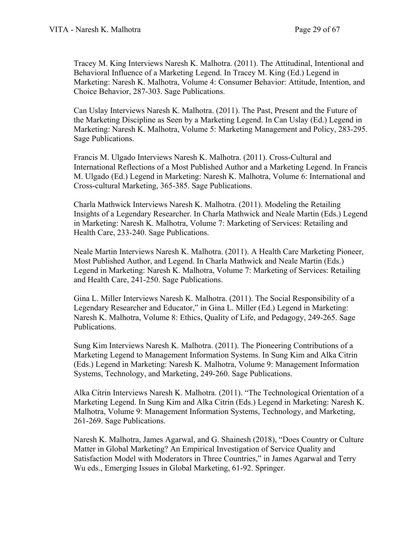Tracey M. King Interviews Naresh K. Malhotra. (2011). The Attitudinal, Intentional and Behavioral Influence of a Marketing Legend. In Tracey M. King (Ed.) Legend in Marketing: Naresh K. Malhotra, Volume 4: Consumer Behavior: Attitude, Intention, and Choice Behavior, 287-303. Sage Publications.

Can Uslay Interviews Naresh K. Malhotra. (2011). The Past, Present and the Future of the Marketing Discipline as Seen by a Marketing Legend. In Can Uslay (Ed.) Legend in Marketing: Naresh K. Malhotra, Volume 5: Marketing Management and Policy, 283-295. Sage Publications.

Francis M. Ulgado Interviews Naresh K. Malhotra. (2011). Cross-Cultural and International Reflections of a Most Published Author and a Marketing Legend. In Francis M. Ulgado (Ed.) Legend in Marketing: Naresh K. Malhotra, Volume 6: International and Cross-cultural Marketing, 365-385. Sage Publications.

Charla Mathwick Interviews Naresh K. Malhotra. (2011). Modeling the Retailing Insights of a Legendary Researcher. In Charla Mathwick and Neale Martin (Eds.) Legend in Marketing: Naresh K. Malhotra, Volume 7: Marketing of Services: Retailing and Health Care, 233-240. Sage Publications.

Neale Martin Interviews Naresh K. Malhotra. (2011). A Health Care Marketing Pioneer, Most Published Author, and Legend. In Charla Mathwick and Neale Martin (Eds.) Legend in Marketing: Naresh K. Malhotra, Volume 7: Marketing of Services: Retailing and Health Care, 241-250. Sage Publications.

Gina L. Miller Interviews Naresh K. Malhotra. (2011). The Social Responsibility of a Legendary Researcher and Educator," in Gina L. Miller (Ed.) Legend in Marketing: Naresh K. Malhotra, Volume 8: Ethics, Quality of Life, and Pedagogy, 249-265. Sage Publications.

Sung Kim Interviews Naresh K. Malhotra. (2011). The Pioneering Contributions of a Marketing Legend to Management Information Systems. In Sung Kim and Alka Citrin (Eds.) Legend in Marketing: Naresh K. Malhotra, Volume 9: Management Information Systems, Technology, and Marketing, 249-260. Sage Publications.

Alka Citrin Interviews Naresh K. Malhotra. (2011). "The Technological Orientation of a Marketing Legend. In Sung Kim and Alka Citrin (Eds.) Legend in Marketing: Naresh K. Malhotra, Volume 9: Management Information Systems, Technology, and Marketing, 261-269. Sage Publications.

Naresh K. Malhotra, James Agarwal, and G. Shainesh (2018), "Does Country or Culture Matter in Global Marketing? An Empirical Investigation of Service Quality and Satisfaction Model with Moderators in Three Countries," in James Agarwal and Terry Wu eds., Emerging Issues in Global Marketing, 61-92. Springer.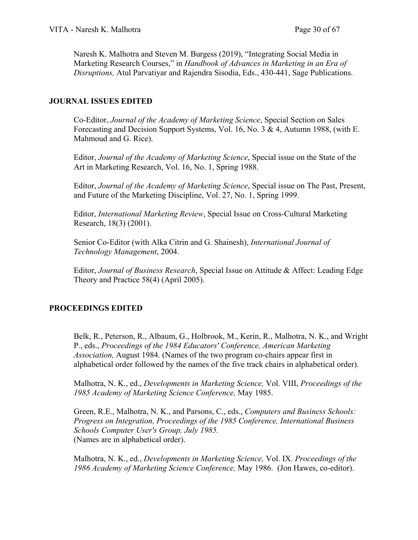Naresh K. Malhotra and Steven M. Burgess (2019), "Integrating Social Media in Marketing Research Courses," in *Handbook of Advances in Marketing in an Era of Disruptions,* Atul Parvatiyar and Rajendra Sisodia, Eds., 430-441, Sage Publications.

## **JOURNAL ISSUES EDITED**

Co-Editor, *Journal of the Academy of Marketing Science*, Special Section on Sales Forecasting and Decision Support Systems, Vol. 16, No. 3 & 4, Autumn 1988, (with E. Mahmoud and G. Rice).

Editor, *Journal of the Academy of Marketing Science*, Special issue on the State of the Art in Marketing Research, Vol. 16, No. 1, Spring 1988.

Editor, *Journal of the Academy of Marketing Science*, Special issue on The Past, Present, and Future of the Marketing Discipline, Vol. 27, No. 1, Spring 1999.

Editor, *International Marketing Review*, Special Issue on Cross-Cultural Marketing Research, 18(3) (2001).

Senior Co-Editor (with Alka Citrin and G. Shainesh), *International Journal of Technology Management*, 2004.

Editor, *Journal of Business Research*, Special Issue on Attitude & Affect: Leading Edge Theory and Practice 58(4) (April 2005).

# **PROCEEDINGS EDITED**

Belk, R., Peterson, R., Albaum, G., Holbrook, M., Kerin, R., Malhotra, N. K., and Wright P., eds., *Proceedings of the 1984 Educators' Conference, American Marketing Association,* August 1984. (Names of the two program co-chairs appear first in alphabetical order followed by the names of the five track chairs in alphabetical order).

Malhotra, N. K., ed., *Developments in Marketing Science,* Vol. VIII, *Proceedings of the 1985 Academy of Marketing Science Conference,* May 1985.

Green, R.E., Malhotra, N. K., and Parsons, C., eds., *Computers and Business Schools: Progress on Integration, Proceedings of the 1985 Conference, International Business Schools Computer User's Group, July 1985.* (Names are in alphabetical order).

Malhotra, N. K., ed., *Developments in Marketing Science,* Vol. IX. *Proceedings of the 1986 Academy of Marketing Science Conference,* May 1986. (Jon Hawes, co-editor).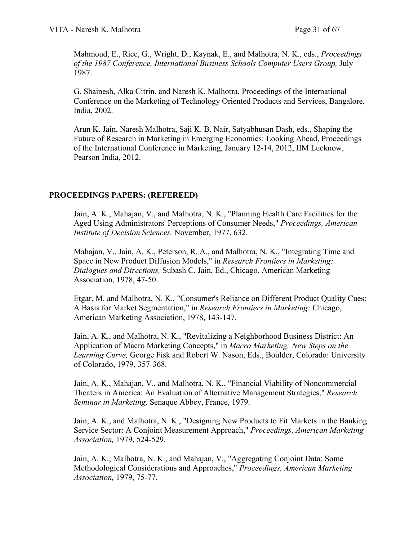Mahmoud, E., Rice, G., Wright, D., Kaynak, E., and Malhotra, N. K., eds., *Proceedings of the 1987 Conference, International Business Schools Computer Users Group,* July 1987.

G. Shainesh, Alka Citrin, and Naresh K. Malhotra, Proceedings of the International Conference on the Marketing of Technology Oriented Products and Services, Bangalore, India, 2002.

Arun K. Jain, Naresh Malhotra, Saji K. B. Nair, Satyabhusan Dash, eds., Shaping the Future of Research in Marketing in Emerging Economies: Looking Ahead, Proceedings of the International Conference in Marketing, January 12-14, 2012, IIM Lucknow, Pearson India, 2012.

## **PROCEEDINGS PAPERS: (REFEREED)**

Jain, A. K., Mahajan, V., and Malhotra, N. K., "Planning Health Care Facilities for the Aged Using Administrators' Perceptions of Consumer Needs," *Proceedings, American Institute of Decision Sciences,* November, 1977, 632.

Mahajan, V., Jain, A. K., Peterson, R. A., and Malhotra, N. K., "Integrating Time and Space in New Product Diffusion Models," in *Research Frontiers in Marketing: Dialogues and Directions,* Subash C. Jain, Ed., Chicago, American Marketing Association, 1978, 47-50.

Etgar, M. and Malhotra, N. K., "Consumer's Reliance on Different Product Quality Cues: A Basis for Market Segmentation," in *Research Frontiers in Marketing:* Chicago, American Marketing Association, 1978, 143-147.

Jain, A. K., and Malhotra, N. K., "Revitalizing a Neighborhood Business District: An Application of Macro Marketing Concepts," in *Macro Marketing: New Steps on the Learning Curve,* George Fisk and Robert W. Nason, Eds., Boulder, Colorado: University of Colorado, 1979, 357-368.

Jain, A. K., Mahajan, V., and Malhotra, N. K., "Financial Viability of Noncommercial Theaters in America: An Evaluation of Alternative Management Strategies," *Research Seminar in Marketing,* Senaque Abbey, France, 1979.

Jain, A. K., and Malhotra, N. K., "Designing New Products to Fit Markets in the Banking Service Sector: A Conjoint Measurement Approach," *Proceedings, American Marketing Association,* 1979, 524-529.

Jain, A. K., Malhotra, N. K., and Mahajan, V., "Aggregating Conjoint Data: Some Methodological Considerations and Approaches," *Proceedings, American Marketing Association,* 1979, 75-77.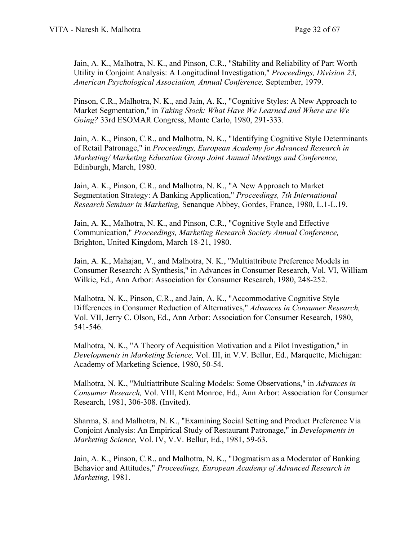Jain, A. K., Malhotra, N. K., and Pinson, C.R., "Stability and Reliability of Part Worth Utility in Conjoint Analysis: A Longitudinal Investigation," *Proceedings, Division 23, American Psychological Association, Annual Conference,* September, 1979.

Pinson, C.R., Malhotra, N. K., and Jain, A. K., "Cognitive Styles: A New Approach to Market Segmentation," in *Taking Stock: What Have We Learned and Where are We Going?* 33rd ESOMAR Congress, Monte Carlo, 1980, 291-333.

Jain, A. K., Pinson, C.R., and Malhotra, N. K., "Identifying Cognitive Style Determinants of Retail Patronage," in *Proceedings, European Academy for Advanced Research in Marketing/ Marketing Education Group Joint Annual Meetings and Conference,*  Edinburgh, March, 1980.

Jain, A. K., Pinson, C.R., and Malhotra, N. K., "A New Approach to Market Segmentation Strategy: A Banking Application," *Proceedings, 7th International Research Seminar in Marketing,* Senanque Abbey, Gordes, France, 1980, L.1-L.19.

Jain, A. K., Malhotra, N. K., and Pinson, C.R., "Cognitive Style and Effective Communication," *Proceedings, Marketing Research Society Annual Conference,* Brighton, United Kingdom, March 18-21, 1980.

Jain, A. K., Mahajan, V., and Malhotra, N. K., "Multiattribute Preference Models in Consumer Research: A Synthesis," in Advances in Consumer Research, Vol. VI, William Wilkie, Ed., Ann Arbor: Association for Consumer Research, 1980, 248-252.

Malhotra, N. K., Pinson, C.R., and Jain, A. K., "Accommodative Cognitive Style Differences in Consumer Reduction of Alternatives," *Advances in Consumer Research,* Vol. VII, Jerry C. Olson, Ed., Ann Arbor: Association for Consumer Research, 1980, 541-546.

Malhotra, N. K., "A Theory of Acquisition Motivation and a Pilot Investigation," in *Developments in Marketing Science,* Vol. III, in V.V. Bellur, Ed., Marquette, Michigan: Academy of Marketing Science, 1980, 50-54.

Malhotra, N. K., "Multiattribute Scaling Models: Some Observations," in *Advances in Consumer Research,* Vol. VIII, Kent Monroe, Ed., Ann Arbor: Association for Consumer Research, 1981, 306-308. (Invited).

Sharma, S. and Malhotra, N. K., "Examining Social Setting and Product Preference Via Conjoint Analysis: An Empirical Study of Restaurant Patronage," in *Developments in Marketing Science,* Vol. IV, V.V. Bellur, Ed., 1981, 59-63.

Jain, A. K., Pinson, C.R., and Malhotra, N. K., "Dogmatism as a Moderator of Banking Behavior and Attitudes," *Proceedings, European Academy of Advanced Research in Marketing,* 1981.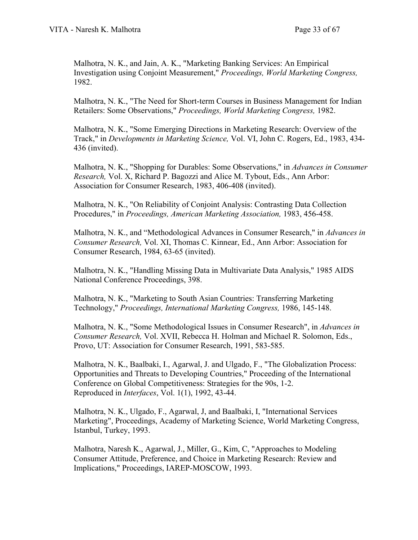Malhotra, N. K., and Jain, A. K., "Marketing Banking Services: An Empirical Investigation using Conjoint Measurement," *Proceedings, World Marketing Congress,* 1982.

Malhotra, N. K., "The Need for Short-term Courses in Business Management for Indian Retailers: Some Observations," *Proceedings, World Marketing Congress,* 1982.

Malhotra, N. K., "Some Emerging Directions in Marketing Research: Overview of the Track," in *Developments in Marketing Science,* Vol. VI, John C. Rogers, Ed., 1983, 434- 436 (invited).

Malhotra, N. K., "Shopping for Durables: Some Observations," in *Advances in Consumer Research,* Vol. X, Richard P. Bagozzi and Alice M. Tybout, Eds., Ann Arbor: Association for Consumer Research, 1983, 406-408 (invited).

Malhotra, N. K., "On Reliability of Conjoint Analysis: Contrasting Data Collection Procedures," in *Proceedings, American Marketing Association,* 1983, 456-458.

Malhotra, N. K., and "Methodological Advances in Consumer Research," in *Advances in Consumer Research,* Vol. XI, Thomas C. Kinnear, Ed., Ann Arbor: Association for Consumer Research, 1984, 63-65 (invited).

Malhotra, N. K., "Handling Missing Data in Multivariate Data Analysis," 1985 AIDS National Conference Proceedings, 398.

Malhotra, N. K., "Marketing to South Asian Countries: Transferring Marketing Technology," *Proceedings, International Marketing Congress,* 1986, 145-148.

Malhotra, N. K., "Some Methodological Issues in Consumer Research", in *Advances in Consumer Research,* Vol. XVII, Rebecca H. Holman and Michael R. Solomon, Eds., Provo, UT: Association for Consumer Research, 1991, 583-585.

Malhotra, N. K., Baalbaki, I., Agarwal, J. and Ulgado, F., "The Globalization Process: Opportunities and Threats to Developing Countries," Proceeding of the International Conference on Global Competitiveness: Strategies for the 90s, 1-2. Reproduced in *Interfaces*, Vol. 1(1), 1992, 43-44.

Malhotra, N. K., Ulgado, F., Agarwal, J, and Baalbaki, I, "International Services Marketing", Proceedings, Academy of Marketing Science, World Marketing Congress, Istanbul, Turkey, 1993.

Malhotra, Naresh K., Agarwal, J., Miller, G., Kim, C, "Approaches to Modeling Consumer Attitude, Preference, and Choice in Marketing Research: Review and Implications," Proceedings, IAREP-MOSCOW, 1993.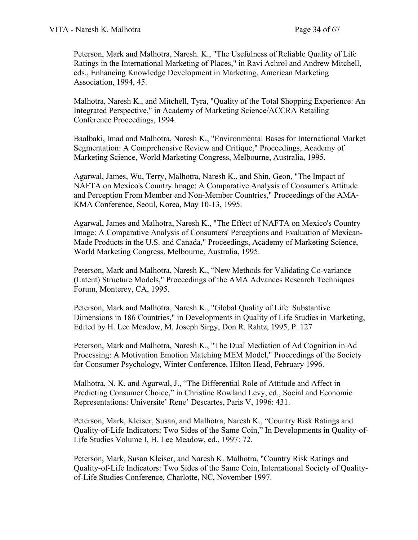Peterson, Mark and Malhotra, Naresh. K., "The Usefulness of Reliable Quality of Life Ratings in the International Marketing of Places," in Ravi Achrol and Andrew Mitchell, eds., Enhancing Knowledge Development in Marketing, American Marketing Association, 1994, 45.

Malhotra, Naresh K., and Mitchell, Tyra, "Quality of the Total Shopping Experience: An Integrated Perspective," in Academy of Marketing Science/ACCRA Retailing Conference Proceedings, 1994.

Baalbaki, Imad and Malhotra, Naresh K., "Environmental Bases for International Market Segmentation: A Comprehensive Review and Critique," Proceedings, Academy of Marketing Science, World Marketing Congress, Melbourne, Australia, 1995.

Agarwal, James, Wu, Terry, Malhotra, Naresh K., and Shin, Geon, "The Impact of NAFTA on Mexico's Country Image: A Comparative Analysis of Consumer's Attitude and Perception From Member and Non-Member Countries," Proceedings of the AMA-KMA Conference, Seoul, Korea, May 10-13, 1995.

Agarwal, James and Malhotra, Naresh K., "The Effect of NAFTA on Mexico's Country Image: A Comparative Analysis of Consumers' Perceptions and Evaluation of Mexican-Made Products in the U.S. and Canada," Proceedings, Academy of Marketing Science, World Marketing Congress, Melbourne, Australia, 1995.

Peterson, Mark and Malhotra, Naresh K., "New Methods for Validating Co-variance (Latent) Structure Models," Proceedings of the AMA Advances Research Techniques Forum, Monterey, CA, 1995.

Peterson, Mark and Malhotra, Naresh K., "Global Quality of Life: Substantive Dimensions in 186 Countries," in Developments in Quality of Life Studies in Marketing, Edited by H. Lee Meadow, M. Joseph Sirgy, Don R. Rahtz, 1995, P. 127

Peterson, Mark and Malhotra, Naresh K., "The Dual Mediation of Ad Cognition in Ad Processing: A Motivation Emotion Matching MEM Model," Proceedings of the Society for Consumer Psychology, Winter Conference, Hilton Head, February 1996.

Malhotra, N. K. and Agarwal, J., "The Differential Role of Attitude and Affect in Predicting Consumer Choice," in Christine Rowland Levy, ed., Social and Economic Representations: Universite' Rene' Descartes, Paris V, 1996: 431.

Peterson, Mark, Kleiser, Susan, and Malhotra, Naresh K., "Country Risk Ratings and Quality-of-Life Indicators: Two Sides of the Same Coin," In Developments in Quality-of-Life Studies Volume I, H. Lee Meadow, ed., 1997: 72.

Peterson, Mark, Susan Kleiser, and Naresh K. Malhotra, "Country Risk Ratings and Quality-of-Life Indicators: Two Sides of the Same Coin, International Society of Qualityof-Life Studies Conference, Charlotte, NC, November 1997.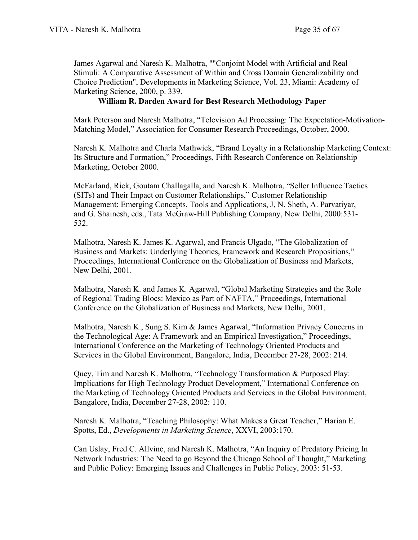James Agarwal and Naresh K. Malhotra, ""Conjoint Model with Artificial and Real Stimuli: A Comparative Assessment of Within and Cross Domain Generalizability and Choice Prediction", Developments in Marketing Science, Vol. 23, Miami: Academy of Marketing Science, 2000, p. 339.

## **William R. Darden Award for Best Research Methodology Paper**

Mark Peterson and Naresh Malhotra, "Television Ad Processing: The Expectation-Motivation-Matching Model," Association for Consumer Research Proceedings, October, 2000.

Naresh K. Malhotra and Charla Mathwick, "Brand Loyalty in a Relationship Marketing Context: Its Structure and Formation," Proceedings, Fifth Research Conference on Relationship Marketing, October 2000.

McFarland, Rick, Goutam Challagalla, and Naresh K. Malhotra, "Seller Influence Tactics (SITs) and Their Impact on Customer Relationships," Customer Relationship Management: Emerging Concepts, Tools and Applications, J, N. Sheth, A. Parvatiyar, and G. Shainesh, eds., Tata McGraw-Hill Publishing Company, New Delhi, 2000:531- 532.

Malhotra, Naresh K. James K. Agarwal, and Francis Ulgado, "The Globalization of Business and Markets: Underlying Theories, Framework and Research Propositions," Proceedings, International Conference on the Globalization of Business and Markets, New Delhi, 2001.

Malhotra, Naresh K. and James K. Agarwal, "Global Marketing Strategies and the Role of Regional Trading Blocs: Mexico as Part of NAFTA," Proceedings, International Conference on the Globalization of Business and Markets, New Delhi, 2001.

Malhotra, Naresh K., Sung S. Kim & James Agarwal, "Information Privacy Concerns in the Technological Age: A Framework and an Empirical Investigation," Proceedings, International Conference on the Marketing of Technology Oriented Products and Services in the Global Environment, Bangalore, India, December 27-28, 2002: 214.

Quey, Tim and Naresh K. Malhotra, "Technology Transformation & Purposed Play: Implications for High Technology Product Development," International Conference on the Marketing of Technology Oriented Products and Services in the Global Environment, Bangalore, India, December 27-28, 2002: 110.

Naresh K. Malhotra, "Teaching Philosophy: What Makes a Great Teacher," Harian E. Spotts, Ed., *Developments in Marketing Science*, XXVI, 2003:170.

Can Uslay, Fred C. Allvine, and Naresh K. Malhotra, "An Inquiry of Predatory Pricing In Network Industries: The Need to go Beyond the Chicago School of Thought," Marketing and Public Policy: Emerging Issues and Challenges in Public Policy, 2003: 51-53.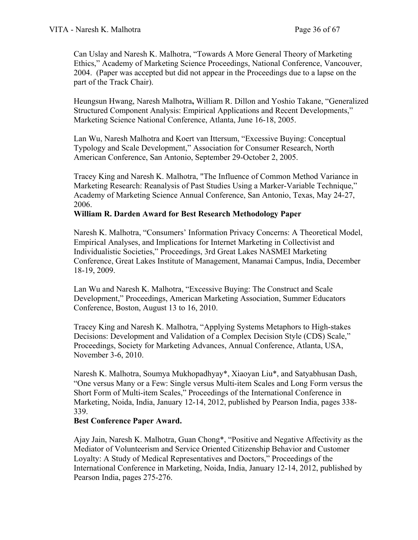Can Uslay and Naresh K. Malhotra, "Towards A More General Theory of Marketing Ethics," Academy of Marketing Science Proceedings, National Conference, Vancouver, 2004. (Paper was accepted but did not appear in the Proceedings due to a lapse on the part of the Track Chair).

Heungsun Hwang, Naresh Malhotra**,** William R. Dillon and Yoshio Takane, "Generalized Structured Component Analysis: Empirical Applications and Recent Developments," Marketing Science National Conference, Atlanta, June 16-18, 2005.

Lan Wu, Naresh Malhotra and Koert van Ittersum, "Excessive Buying: Conceptual Typology and Scale Development," Association for Consumer Research, North American Conference, San Antonio, September 29-October 2, 2005.

Tracey King and Naresh K. Malhotra, "The Influence of Common Method Variance in Marketing Research: Reanalysis of Past Studies Using a Marker-Variable Technique," Academy of Marketing Science Annual Conference, San Antonio, Texas, May 24-27, 2006.

#### **William R. Darden Award for Best Research Methodology Paper**

Naresh K. Malhotra, "Consumers' Information Privacy Concerns: A Theoretical Model, Empirical Analyses, and Implications for Internet Marketing in Collectivist and Individualistic Societies," Proceedings, 3rd Great Lakes NASMEI Marketing Conference, Great Lakes Institute of Management, Manamai Campus, India, December 18-19, 2009.

Lan Wu and Naresh K. Malhotra, "Excessive Buying: The Construct and Scale Development," Proceedings, American Marketing Association, Summer Educators Conference, Boston, August 13 to 16, 2010.

Tracey King and Naresh K. Malhotra, "Applying Systems Metaphors to High-stakes Decisions: Development and Validation of a Complex Decision Style (CDS) Scale," Proceedings, Society for Marketing Advances, Annual Conference, Atlanta, USA, November 3-6, 2010.

Naresh K. Malhotra, Soumya Mukhopadhyay\*, Xiaoyan Liu\*, and Satyabhusan Dash, "One versus Many or a Few: Single versus Multi-item Scales and Long Form versus the Short Form of Multi-item Scales," Proceedings of the International Conference in Marketing, Noida, India, January 12-14, 2012, published by Pearson India, pages 338- 339.

#### **Best Conference Paper Award.**

Ajay Jain, Naresh K. Malhotra, Guan Chong\*, "Positive and Negative Affectivity as the Mediator of Volunteerism and Service Oriented Citizenship Behavior and Customer Loyalty: A Study of Medical Representatives and Doctors," Proceedings of the International Conference in Marketing, Noida, India, January 12-14, 2012, published by Pearson India, pages 275-276.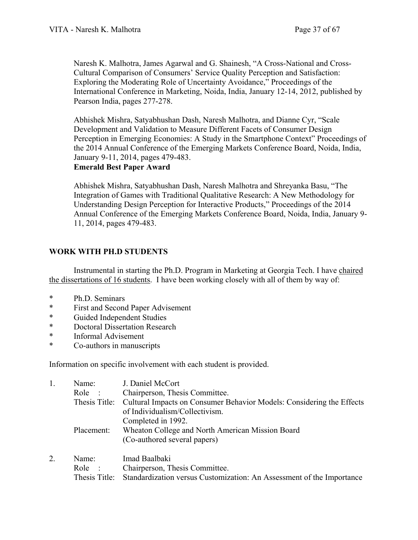Naresh K. Malhotra, James Agarwal and G. Shainesh, "A Cross-National and Cross-Cultural Comparison of Consumers' Service Quality Perception and Satisfaction: Exploring the Moderating Role of Uncertainty Avoidance," Proceedings of the International Conference in Marketing, Noida, India, January 12-14, 2012, published by Pearson India, pages 277-278.

Abhishek Mishra, Satyabhushan Dash, Naresh Malhotra, and Dianne Cyr, "Scale Development and Validation to Measure Different Facets of Consumer Design Perception in Emerging Economies: A Study in the Smartphone Context" Proceedings of the 2014 Annual Conference of the Emerging Markets Conference Board, Noida, India, January 9-11, 2014, pages 479-483.

**Emerald Best Paper Award**

Abhishek Mishra, Satyabhushan Dash, Naresh Malhotra and Shreyanka Basu, "The Integration of Games with Traditional Qualitative Research: A New Methodology for Understanding Design Perception for Interactive Products," Proceedings of the 2014 Annual Conference of the Emerging Markets Conference Board, Noida, India, January 9- 11, 2014, pages 479-483.

## **WORK WITH PH.D STUDENTS**

Instrumental in starting the Ph.D. Program in Marketing at Georgia Tech. I have chaired the dissertations of 16 students. I have been working closely with all of them by way of:

- \* Ph.D. Seminars
- \* First and Second Paper Advisement<br>\* Guided Independent Studies
- \* Guided Independent Studies
- Doctoral Dissertation Research
- \* Informal Advisement<br>\* Co-authors in manusc
- Co-authors in manuscripts

Information on specific involvement with each student is provided.

| 1. | Name:                | J. Daniel McCort                                                                    |
|----|----------------------|-------------------------------------------------------------------------------------|
|    | Role<br>$\mathbf{r}$ | Chairperson, Thesis Committee.                                                      |
|    |                      | Thesis Title: Cultural Impacts on Consumer Behavior Models: Considering the Effects |
|    |                      | of Individualism/Collectivism.                                                      |
|    |                      | Completed in 1992.                                                                  |
|    | Placement:           | Wheaton College and North American Mission Board                                    |
|    |                      | (Co-authored several papers)                                                        |
| 2. | Name:                | Imad Baalbaki                                                                       |
|    | Role<br>$\sim$ 1     | Chairperson, Thesis Committee.                                                      |
|    | Thesis Title:        | Standardization versus Customization: An Assessment of the Importance               |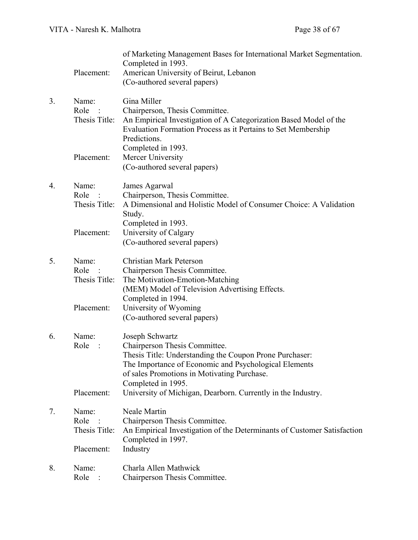|    | Placement:                                   | of Marketing Management Bases for International Market Segmentation.<br>Completed in 1993.<br>American University of Beirut, Lebanon<br>(Co-authored several papers)                                                                      |
|----|----------------------------------------------|-------------------------------------------------------------------------------------------------------------------------------------------------------------------------------------------------------------------------------------------|
| 3. | Name:<br>Role<br>Thesis Title:               | Gina Miller<br>Chairperson, Thesis Committee.<br>An Empirical Investigation of A Categorization Based Model of the<br>Evaluation Formation Process as it Pertains to Set Membership<br>Predictions.                                       |
|    | Placement:                                   | Completed in 1993.<br>Mercer University<br>(Co-authored several papers)                                                                                                                                                                   |
| 4. | Name:<br>Role<br>Thesis Title:               | James Agarwal<br>Chairperson, Thesis Committee.<br>A Dimensional and Holistic Model of Consumer Choice: A Validation<br>Study.                                                                                                            |
|    | Placement:                                   | Completed in 1993.<br>University of Calgary<br>(Co-authored several papers)                                                                                                                                                               |
| 5. | Name:<br>Role<br>Thesis Title:               | <b>Christian Mark Peterson</b><br>Chairperson Thesis Committee.<br>The Motivation-Emotion-Matching<br>(MEM) Model of Television Advertising Effects.                                                                                      |
|    | Placement:                                   | Completed in 1994.<br>University of Wyoming<br>(Co-authored several papers)                                                                                                                                                               |
| 6. | Name:<br>Role                                | Joseph Schwartz<br>Chairperson Thesis Committee.<br>Thesis Title: Understanding the Coupon Prone Purchaser:<br>The Importance of Economic and Psychological Elements<br>of sales Promotions in Motivating Purchase.<br>Completed in 1995. |
|    | Placement:                                   | University of Michigan, Dearborn. Currently in the Industry.                                                                                                                                                                              |
| 7. | Name:<br>Role<br>Thesis Title:<br>Placement: | Neale Martin<br>Chairperson Thesis Committee.<br>An Empirical Investigation of the Determinants of Customer Satisfaction<br>Completed in 1997.<br>Industry                                                                                |
| 8. | Name:<br>Role                                | Charla Allen Mathwick<br>Chairperson Thesis Committee.                                                                                                                                                                                    |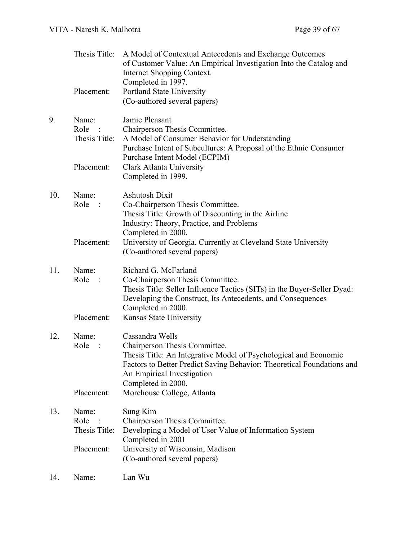|     | Thesis Title:<br>Placement:                | A Model of Contextual Antecedents and Exchange Outcomes<br>of Customer Value: An Empirical Investigation Into the Catalog and<br>Internet Shopping Context.<br>Completed in 1997.<br>Portland State University<br>(Co-authored several papers)     |
|-----|--------------------------------------------|----------------------------------------------------------------------------------------------------------------------------------------------------------------------------------------------------------------------------------------------------|
| 9.  | Name:<br>Role<br>$\sim$ :<br>Thesis Title: | Jamie Pleasant<br>Chairperson Thesis Committee.<br>A Model of Consumer Behavior for Understanding<br>Purchase Intent of Subcultures: A Proposal of the Ethnic Consumer<br>Purchase Intent Model (ECPIM)                                            |
|     | Placement:                                 | Clark Atlanta University<br>Completed in 1999.                                                                                                                                                                                                     |
| 10. | Name:<br>Role :                            | <b>Ashutosh Dixit</b><br>Co-Chairperson Thesis Committee.<br>Thesis Title: Growth of Discounting in the Airline<br>Industry: Theory, Practice, and Problems<br>Completed in 2000.                                                                  |
|     | Placement:                                 | University of Georgia. Currently at Cleveland State University<br>(Co-authored several papers)                                                                                                                                                     |
| 11. | Name:<br>Role<br>$\ddots$                  | Richard G. McFarland<br>Co-Chairperson Thesis Committee.<br>Thesis Title: Seller Influence Tactics (SITs) in the Buyer-Seller Dyad:<br>Developing the Construct, Its Antecedents, and Consequences<br>Completed in 2000.                           |
|     | Placement:                                 | Kansas State University                                                                                                                                                                                                                            |
| 12. | Name:<br>Role<br>$\ddot{\phantom{0}}$ :    | Cassandra Wells<br>Chairperson Thesis Committee.<br>Thesis Title: An Integrative Model of Psychological and Economic<br>Factors to Better Predict Saving Behavior: Theoretical Foundations and<br>An Empirical Investigation<br>Completed in 2000. |
|     | Placement:                                 | Morehouse College, Atlanta                                                                                                                                                                                                                         |
| 13. | Name:<br>Role<br>Thesis Title:             | Sung Kim<br>Chairperson Thesis Committee.<br>Developing a Model of User Value of Information System<br>Completed in 2001                                                                                                                           |
|     | Placement:                                 | University of Wisconsin, Madison<br>(Co-authored several papers)                                                                                                                                                                                   |
| 14. | Name:                                      | Lan Wu                                                                                                                                                                                                                                             |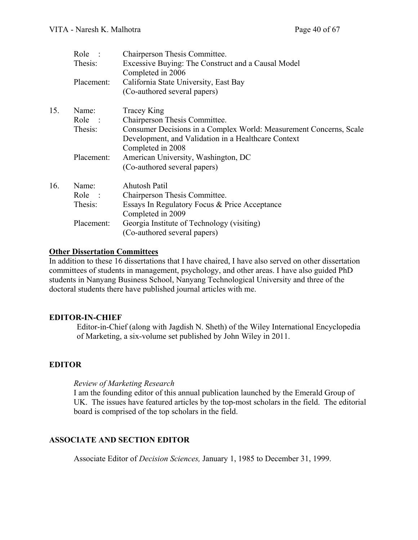|     | Role                         | Chairperson Thesis Committee.                                      |
|-----|------------------------------|--------------------------------------------------------------------|
|     | Thesis:                      | Excessive Buying: The Construct and a Causal Model                 |
|     |                              | Completed in 2006                                                  |
|     | Placement:                   | California State University, East Bay                              |
|     |                              | (Co-authored several papers)                                       |
| 15. | Name:                        | Tracey King                                                        |
|     | Role<br>$\ddot{\phantom{0}}$ | Chairperson Thesis Committee.                                      |
|     | Thesis:                      | Consumer Decisions in a Complex World: Measurement Concerns, Scale |
|     |                              | Development, and Validation in a Healthcare Context                |
|     |                              | Completed in 2008                                                  |
|     | Placement:                   | American University, Washington, DC                                |
|     |                              | (Co-authored several papers)                                       |
| 16. | Name:                        | Ahutosh Patil                                                      |
|     | Role<br>$\ddot{\phantom{0}}$ | Chairperson Thesis Committee.                                      |
|     | Thesis:                      | Essays In Regulatory Focus & Price Acceptance                      |
|     |                              | Completed in 2009                                                  |
|     | Placement:                   | Georgia Institute of Technology (visiting)                         |
|     |                              | (Co-authored several papers)                                       |
|     |                              |                                                                    |

#### **Other Dissertation Committees**

In addition to these 16 dissertations that I have chaired, I have also served on other dissertation committees of students in management, psychology, and other areas. I have also guided PhD students in Nanyang Business School, Nanyang Technological University and three of the doctoral students there have published journal articles with me.

#### **EDITOR-IN-CHIEF**

Editor-in-Chief (along with Jagdish N. Sheth) of the Wiley International Encyclopedia of Marketing, a six-volume set published by John Wiley in 2011.

## **EDITOR**

#### *Review of Marketing Research*

I am the founding editor of this annual publication launched by the Emerald Group of UK. The issues have featured articles by the top-most scholars in the field. The editorial board is comprised of the top scholars in the field.

## **ASSOCIATE AND SECTION EDITOR**

Associate Editor of *Decision Sciences,* January 1, 1985 to December 31, 1999.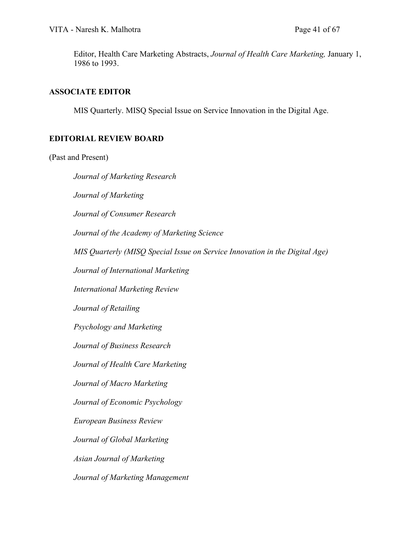Editor, Health Care Marketing Abstracts, *Journal of Health Care Marketing,* January 1, 1986 to 1993.

#### **ASSOCIATE EDITOR**

MIS Quarterly. MISQ Special Issue on Service Innovation in the Digital Age.

## **EDITORIAL REVIEW BOARD**

#### (Past and Present)

*Journal of Marketing Research Journal of Marketing Journal of Consumer Research Journal of the Academy of Marketing Science MIS Quarterly (MISQ Special Issue on Service Innovation in the Digital Age) Journal of International Marketing International Marketing Review Journal of Retailing Psychology and Marketing Journal of Business Research Journal of Health Care Marketing Journal of Macro Marketing Journal of Economic Psychology European Business Review Journal of Global Marketing Asian Journal of Marketing Journal of Marketing Management*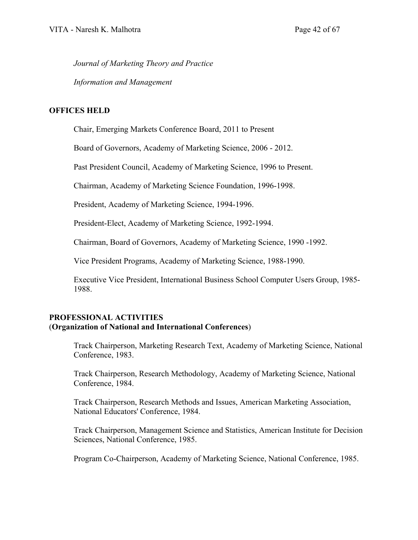*Journal of Marketing Theory and Practice*

*Information and Management* 

## **OFFICES HELD**

Chair, Emerging Markets Conference Board, 2011 to Present

Board of Governors, Academy of Marketing Science, 2006 - 2012.

Past President Council, Academy of Marketing Science, 1996 to Present.

Chairman, Academy of Marketing Science Foundation, 1996-1998.

President, Academy of Marketing Science, 1994-1996.

President-Elect, Academy of Marketing Science, 1992-1994.

Chairman, Board of Governors, Academy of Marketing Science, 1990 -1992.

Vice President Programs, Academy of Marketing Science, 1988-1990.

Executive Vice President, International Business School Computer Users Group, 1985- 1988.

## **PROFESSIONAL ACTIVITIES** (**Organization of National and International Conferences**)

Track Chairperson, Marketing Research Text, Academy of Marketing Science, National Conference, 1983.

Track Chairperson, Research Methodology, Academy of Marketing Science, National Conference, 1984.

Track Chairperson, Research Methods and Issues, American Marketing Association, National Educators' Conference, 1984.

Track Chairperson, Management Science and Statistics, American Institute for Decision Sciences, National Conference, 1985.

Program Co-Chairperson, Academy of Marketing Science, National Conference, 1985.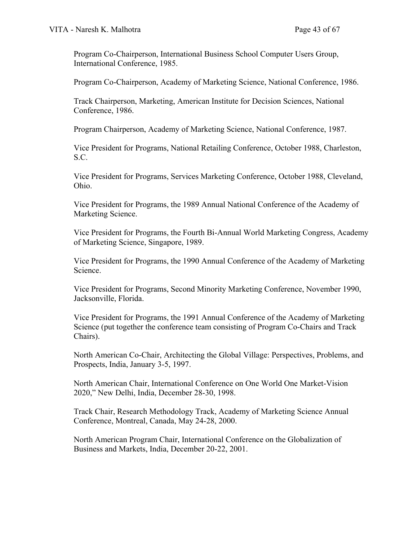Program Co-Chairperson, International Business School Computer Users Group, International Conference, 1985.

Program Co-Chairperson, Academy of Marketing Science, National Conference, 1986.

Track Chairperson, Marketing, American Institute for Decision Sciences, National Conference, 1986.

Program Chairperson, Academy of Marketing Science, National Conference, 1987.

Vice President for Programs, National Retailing Conference, October 1988, Charleston, S.C.

Vice President for Programs, Services Marketing Conference, October 1988, Cleveland, Ohio.

Vice President for Programs, the 1989 Annual National Conference of the Academy of Marketing Science.

Vice President for Programs, the Fourth Bi-Annual World Marketing Congress, Academy of Marketing Science, Singapore, 1989.

Vice President for Programs, the 1990 Annual Conference of the Academy of Marketing Science.

Vice President for Programs, Second Minority Marketing Conference, November 1990, Jacksonville, Florida.

Vice President for Programs, the 1991 Annual Conference of the Academy of Marketing Science (put together the conference team consisting of Program Co-Chairs and Track Chairs).

North American Co-Chair, Architecting the Global Village: Perspectives, Problems, and Prospects, India, January 3-5, 1997.

North American Chair, International Conference on One World One Market-Vision 2020," New Delhi, India, December 28-30, 1998.

Track Chair, Research Methodology Track, Academy of Marketing Science Annual Conference, Montreal, Canada, May 24-28, 2000.

North American Program Chair, International Conference on the Globalization of Business and Markets, India, December 20-22, 2001.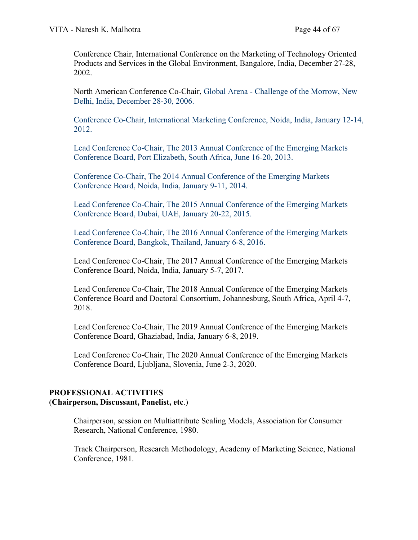Conference Chair, International Conference on the Marketing of Technology Oriented Products and Services in the Global Environment, Bangalore, India, December 27-28, 2002.

North American Conference Co-Chair, Global Arena - Challenge of the Morrow, New Delhi, India, December 28-30, 2006.

Conference Co-Chair, International Marketing Conference, Noida, India, January 12-14, 2012.

Lead Conference Co-Chair, The 2013 Annual Conference of the Emerging Markets Conference Board, Port Elizabeth, South Africa, June 16-20, 2013.

Conference Co-Chair, The 2014 Annual Conference of the Emerging Markets Conference Board, Noida, India, January 9-11, 2014.

Lead Conference Co-Chair, The 2015 Annual Conference of the Emerging Markets Conference Board, Dubai, UAE, January 20-22, 2015.

Lead Conference Co-Chair, The 2016 Annual Conference of the Emerging Markets Conference Board, Bangkok, Thailand, January 6-8, 2016.

Lead Conference Co-Chair, The 2017 Annual Conference of the Emerging Markets Conference Board, Noida, India, January 5-7, 2017.

Lead Conference Co-Chair, The 2018 Annual Conference of the Emerging Markets Conference Board and Doctoral Consortium, Johannesburg, South Africa, April 4-7, 2018.

Lead Conference Co-Chair, The 2019 Annual Conference of the Emerging Markets Conference Board, Ghaziabad, India, January 6-8, 2019.

Lead Conference Co-Chair, The 2020 Annual Conference of the Emerging Markets Conference Board, Ljubljana, Slovenia, June 2-3, 2020.

#### **PROFESSIONAL ACTIVITIES** (**Chairperson, Discussant, Panelist, etc**.)

Chairperson, session on Multiattribute Scaling Models, Association for Consumer Research, National Conference, 1980.

Track Chairperson, Research Methodology, Academy of Marketing Science, National Conference, 1981.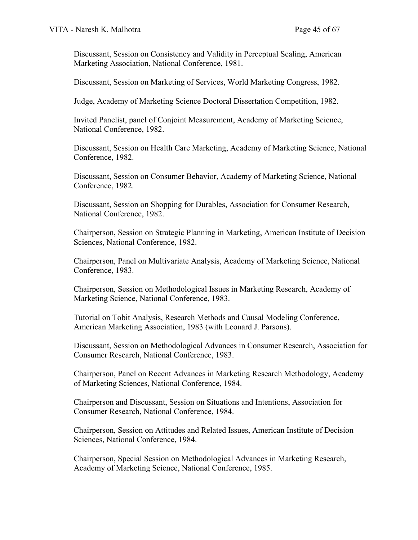Discussant, Session on Consistency and Validity in Perceptual Scaling, American Marketing Association, National Conference, 1981.

Discussant, Session on Marketing of Services, World Marketing Congress, 1982.

Judge, Academy of Marketing Science Doctoral Dissertation Competition, 1982.

Invited Panelist, panel of Conjoint Measurement, Academy of Marketing Science, National Conference, 1982.

Discussant, Session on Health Care Marketing, Academy of Marketing Science, National Conference, 1982.

Discussant, Session on Consumer Behavior, Academy of Marketing Science, National Conference, 1982.

Discussant, Session on Shopping for Durables, Association for Consumer Research, National Conference, 1982.

Chairperson, Session on Strategic Planning in Marketing, American Institute of Decision Sciences, National Conference, 1982.

Chairperson, Panel on Multivariate Analysis, Academy of Marketing Science, National Conference, 1983.

Chairperson, Session on Methodological Issues in Marketing Research, Academy of Marketing Science, National Conference, 1983.

Tutorial on Tobit Analysis, Research Methods and Causal Modeling Conference, American Marketing Association, 1983 (with Leonard J. Parsons).

Discussant, Session on Methodological Advances in Consumer Research, Association for Consumer Research, National Conference, 1983.

Chairperson, Panel on Recent Advances in Marketing Research Methodology, Academy of Marketing Sciences, National Conference, 1984.

Chairperson and Discussant, Session on Situations and Intentions, Association for Consumer Research, National Conference, 1984.

Chairperson, Session on Attitudes and Related Issues, American Institute of Decision Sciences, National Conference, 1984.

Chairperson, Special Session on Methodological Advances in Marketing Research, Academy of Marketing Science, National Conference, 1985.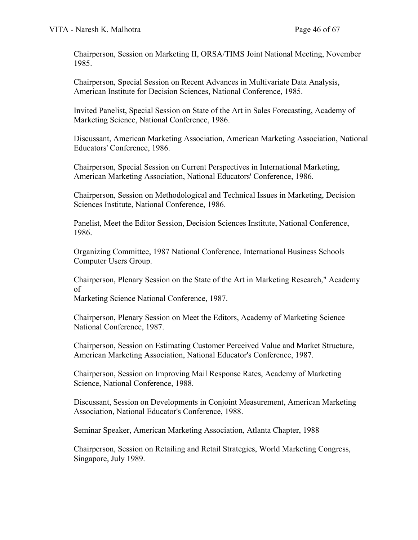Chairperson, Session on Marketing II, ORSA/TIMS Joint National Meeting, November 1985.

Chairperson, Special Session on Recent Advances in Multivariate Data Analysis, American Institute for Decision Sciences, National Conference, 1985.

Invited Panelist, Special Session on State of the Art in Sales Forecasting, Academy of Marketing Science, National Conference, 1986.

Discussant, American Marketing Association, American Marketing Association, National Educators' Conference, 1986.

Chairperson, Special Session on Current Perspectives in International Marketing, American Marketing Association, National Educators' Conference, 1986.

Chairperson, Session on Methodological and Technical Issues in Marketing, Decision Sciences Institute, National Conference, 1986.

Panelist, Meet the Editor Session, Decision Sciences Institute, National Conference, 1986.

Organizing Committee, 1987 National Conference, International Business Schools Computer Users Group.

Chairperson, Plenary Session on the State of the Art in Marketing Research," Academy of

Marketing Science National Conference, 1987.

Chairperson, Plenary Session on Meet the Editors, Academy of Marketing Science National Conference, 1987.

Chairperson, Session on Estimating Customer Perceived Value and Market Structure, American Marketing Association, National Educator's Conference, 1987.

Chairperson, Session on Improving Mail Response Rates, Academy of Marketing Science, National Conference, 1988.

Discussant, Session on Developments in Conjoint Measurement, American Marketing Association, National Educator's Conference, 1988.

Seminar Speaker, American Marketing Association, Atlanta Chapter, 1988

Chairperson, Session on Retailing and Retail Strategies, World Marketing Congress, Singapore, July 1989.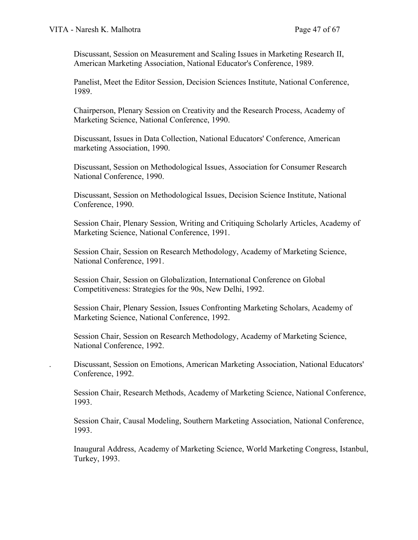Discussant, Session on Measurement and Scaling Issues in Marketing Research II, American Marketing Association, National Educator's Conference, 1989.

Panelist, Meet the Editor Session, Decision Sciences Institute, National Conference, 1989.

Chairperson, Plenary Session on Creativity and the Research Process, Academy of Marketing Science, National Conference, 1990.

Discussant, Issues in Data Collection, National Educators' Conference, American marketing Association, 1990.

Discussant, Session on Methodological Issues, Association for Consumer Research National Conference, 1990.

Discussant, Session on Methodological Issues, Decision Science Institute, National Conference, 1990.

Session Chair, Plenary Session, Writing and Critiquing Scholarly Articles, Academy of Marketing Science, National Conference, 1991.

Session Chair, Session on Research Methodology, Academy of Marketing Science, National Conference, 1991.

Session Chair, Session on Globalization, International Conference on Global Competitiveness: Strategies for the 90s, New Delhi, 1992.

Session Chair, Plenary Session, Issues Confronting Marketing Scholars, Academy of Marketing Science, National Conference, 1992.

Session Chair, Session on Research Methodology, Academy of Marketing Science, National Conference, 1992.

. Discussant, Session on Emotions, American Marketing Association, National Educators' Conference, 1992.

Session Chair, Research Methods, Academy of Marketing Science, National Conference, 1993.

Session Chair, Causal Modeling, Southern Marketing Association, National Conference, 1993.

Inaugural Address, Academy of Marketing Science, World Marketing Congress, Istanbul, Turkey, 1993.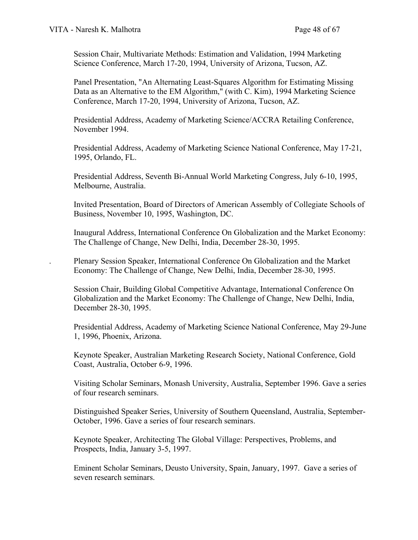Session Chair, Multivariate Methods: Estimation and Validation, 1994 Marketing Science Conference, March 17-20, 1994, University of Arizona, Tucson, AZ.

Panel Presentation, "An Alternating Least-Squares Algorithm for Estimating Missing Data as an Alternative to the EM Algorithm," (with C. Kim), 1994 Marketing Science Conference, March 17-20, 1994, University of Arizona, Tucson, AZ.

Presidential Address, Academy of Marketing Science/ACCRA Retailing Conference, November 1994.

Presidential Address, Academy of Marketing Science National Conference, May 17-21, 1995, Orlando, FL.

Presidential Address, Seventh Bi-Annual World Marketing Congress, July 6-10, 1995, Melbourne, Australia.

Invited Presentation, Board of Directors of American Assembly of Collegiate Schools of Business, November 10, 1995, Washington, DC.

Inaugural Address, International Conference On Globalization and the Market Economy: The Challenge of Change, New Delhi, India, December 28-30, 1995.

. Plenary Session Speaker, International Conference On Globalization and the Market Economy: The Challenge of Change, New Delhi, India, December 28-30, 1995.

Session Chair, Building Global Competitive Advantage, International Conference On Globalization and the Market Economy: The Challenge of Change, New Delhi, India, December 28-30, 1995.

Presidential Address, Academy of Marketing Science National Conference, May 29-June 1, 1996, Phoenix, Arizona.

Keynote Speaker, Australian Marketing Research Society, National Conference, Gold Coast, Australia, October 6-9, 1996.

Visiting Scholar Seminars, Monash University, Australia, September 1996. Gave a series of four research seminars.

Distinguished Speaker Series, University of Southern Queensland, Australia, September-October, 1996. Gave a series of four research seminars.

Keynote Speaker, Architecting The Global Village: Perspectives, Problems, and Prospects, India, January 3-5, 1997.

Eminent Scholar Seminars, Deusto University, Spain, January, 1997. Gave a series of seven research seminars.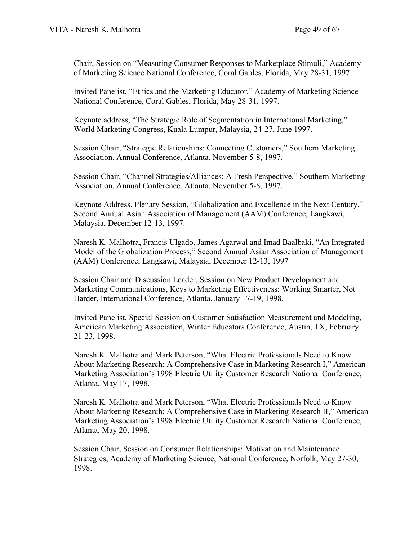Chair, Session on "Measuring Consumer Responses to Marketplace Stimuli," Academy of Marketing Science National Conference, Coral Gables, Florida, May 28-31, 1997.

Invited Panelist, "Ethics and the Marketing Educator," Academy of Marketing Science National Conference, Coral Gables, Florida, May 28-31, 1997.

Keynote address, "The Strategic Role of Segmentation in International Marketing," World Marketing Congress, Kuala Lumpur, Malaysia, 24-27, June 1997.

Session Chair, "Strategic Relationships: Connecting Customers," Southern Marketing Association, Annual Conference, Atlanta, November 5-8, 1997.

Session Chair, "Channel Strategies/Alliances: A Fresh Perspective," Southern Marketing Association, Annual Conference, Atlanta, November 5-8, 1997.

Keynote Address, Plenary Session, "Globalization and Excellence in the Next Century," Second Annual Asian Association of Management (AAM) Conference, Langkawi, Malaysia, December 12-13, 1997.

Naresh K. Malhotra, Francis Ulgado, James Agarwal and Imad Baalbaki, "An Integrated Model of the Globalization Process," Second Annual Asian Association of Management (AAM) Conference, Langkawi, Malaysia, December 12-13, 1997

Session Chair and Discussion Leader, Session on New Product Development and Marketing Communications, Keys to Marketing Effectiveness: Working Smarter, Not Harder, International Conference, Atlanta, January 17-19, 1998.

Invited Panelist, Special Session on Customer Satisfaction Measurement and Modeling, American Marketing Association, Winter Educators Conference, Austin, TX, February 21-23, 1998.

Naresh K. Malhotra and Mark Peterson, "What Electric Professionals Need to Know About Marketing Research: A Comprehensive Case in Marketing Research I," American Marketing Association's 1998 Electric Utility Customer Research National Conference, Atlanta, May 17, 1998.

Naresh K. Malhotra and Mark Peterson, "What Electric Professionals Need to Know About Marketing Research: A Comprehensive Case in Marketing Research II," American Marketing Association's 1998 Electric Utility Customer Research National Conference, Atlanta, May 20, 1998.

Session Chair, Session on Consumer Relationships: Motivation and Maintenance Strategies, Academy of Marketing Science, National Conference, Norfolk, May 27-30, 1998.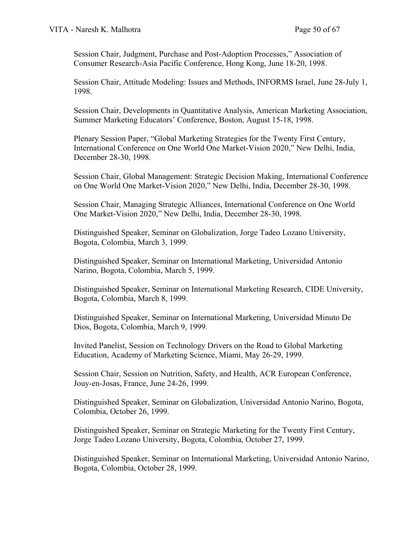Session Chair, Judgment, Purchase and Post-Adoption Processes," Association of Consumer Research-Asia Pacific Conference, Hong Kong, June 18-20, 1998.

Session Chair, Attitude Modeling: Issues and Methods, INFORMS Israel, June 28-July 1, 1998.

Session Chair, Developments in Quantitative Analysis, American Marketing Association, Summer Marketing Educators' Conference, Boston, August 15-18, 1998.

Plenary Session Paper, "Global Marketing Strategies for the Twenty First Century, International Conference on One World One Market-Vision 2020," New Delhi, India, December 28-30, 1998.

Session Chair, Global Management: Strategic Decision Making, International Conference on One World One Market-Vision 2020," New Delhi, India, December 28-30, 1998.

Session Chair, Managing Strategic Alliances, International Conference on One World One Market-Vision 2020," New Delhi, India, December 28-30, 1998.

Distinguished Speaker, Seminar on Globalization, Jorge Tadeo Lozano University, Bogota, Colombia, March 3, 1999.

Distinguished Speaker, Seminar on International Marketing, Universidad Antonio Narino, Bogota, Colombia, March 5, 1999.

Distinguished Speaker, Seminar on International Marketing Research, CIDE University, Bogota, Colombia, March 8, 1999.

Distinguished Speaker, Seminar on International Marketing, Universidad Minuto De Dios, Bogota, Colombia, March 9, 1999.

Invited Panelist, Session on Technology Drivers on the Road to Global Marketing Education, Academy of Marketing Science, Miami, May 26-29, 1999.

Session Chair, Session on Nutrition, Safety, and Health, ACR European Conference, Jouy-en-Josas, France, June 24-26, 1999.

Distinguished Speaker, Seminar on Globalization, Universidad Antonio Narino, Bogota, Colombia, October 26, 1999.

Distinguished Speaker, Seminar on Strategic Marketing for the Twenty First Century, Jorge Tadeo Lozano University, Bogota, Colombia, October 27, 1999.

Distinguished Speaker, Seminar on International Marketing, Universidad Antonio Narino, Bogota, Colombia, October 28, 1999.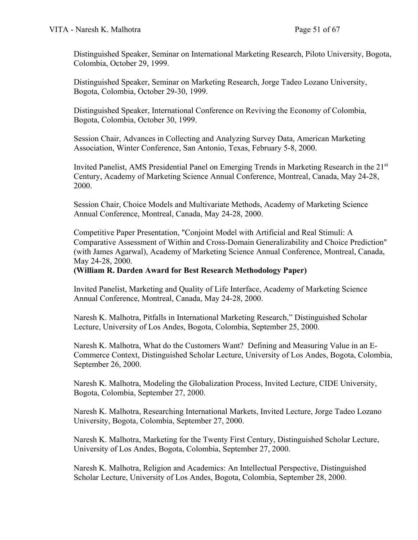Distinguished Speaker, Seminar on International Marketing Research, Piloto University, Bogota, Colombia, October 29, 1999.

Distinguished Speaker, Seminar on Marketing Research, Jorge Tadeo Lozano University, Bogota, Colombia, October 29-30, 1999.

Distinguished Speaker, International Conference on Reviving the Economy of Colombia, Bogota, Colombia, October 30, 1999.

Session Chair, Advances in Collecting and Analyzing Survey Data, American Marketing Association, Winter Conference, San Antonio, Texas, February 5-8, 2000.

Invited Panelist, AMS Presidential Panel on Emerging Trends in Marketing Research in the 21<sup>st</sup> Century, Academy of Marketing Science Annual Conference, Montreal, Canada, May 24-28, 2000.

Session Chair, Choice Models and Multivariate Methods, Academy of Marketing Science Annual Conference, Montreal, Canada, May 24-28, 2000.

Competitive Paper Presentation, "Conjoint Model with Artificial and Real Stimuli: A Comparative Assessment of Within and Cross-Domain Generalizability and Choice Prediction" (with James Agarwal), Academy of Marketing Science Annual Conference, Montreal, Canada, May 24-28, 2000.

**(William R. Darden Award for Best Research Methodology Paper)**

Invited Panelist, Marketing and Quality of Life Interface, Academy of Marketing Science Annual Conference, Montreal, Canada, May 24-28, 2000.

Naresh K. Malhotra, Pitfalls in International Marketing Research," Distinguished Scholar Lecture, University of Los Andes, Bogota, Colombia, September 25, 2000.

Naresh K. Malhotra, What do the Customers Want? Defining and Measuring Value in an E-Commerce Context, Distinguished Scholar Lecture, University of Los Andes, Bogota, Colombia, September 26, 2000.

Naresh K. Malhotra, Modeling the Globalization Process, Invited Lecture, CIDE University, Bogota, Colombia, September 27, 2000.

Naresh K. Malhotra, Researching International Markets, Invited Lecture, Jorge Tadeo Lozano University, Bogota, Colombia, September 27, 2000.

Naresh K. Malhotra, Marketing for the Twenty First Century, Distinguished Scholar Lecture, University of Los Andes, Bogota, Colombia, September 27, 2000.

Naresh K. Malhotra, Religion and Academics: An Intellectual Perspective, Distinguished Scholar Lecture, University of Los Andes, Bogota, Colombia, September 28, 2000.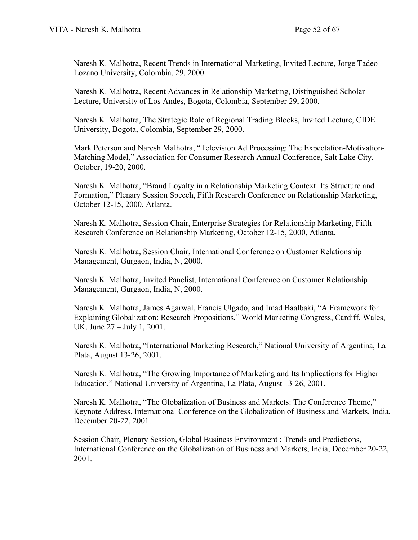Naresh K. Malhotra, Recent Trends in International Marketing, Invited Lecture, Jorge Tadeo Lozano University, Colombia, 29, 2000.

Naresh K. Malhotra, Recent Advances in Relationship Marketing, Distinguished Scholar Lecture, University of Los Andes, Bogota, Colombia, September 29, 2000.

Naresh K. Malhotra, The Strategic Role of Regional Trading Blocks, Invited Lecture, CIDE University, Bogota, Colombia, September 29, 2000.

Mark Peterson and Naresh Malhotra, "Television Ad Processing: The Expectation-Motivation-Matching Model," Association for Consumer Research Annual Conference, Salt Lake City, October, 19-20, 2000.

Naresh K. Malhotra, "Brand Loyalty in a Relationship Marketing Context: Its Structure and Formation," Plenary Session Speech, Fifth Research Conference on Relationship Marketing, October 12-15, 2000, Atlanta.

Naresh K. Malhotra, Session Chair, Enterprise Strategies for Relationship Marketing, Fifth Research Conference on Relationship Marketing, October 12-15, 2000, Atlanta.

Naresh K. Malhotra, Session Chair, International Conference on Customer Relationship Management, Gurgaon, India, N, 2000.

Naresh K. Malhotra, Invited Panelist, International Conference on Customer Relationship Management, Gurgaon, India, N, 2000.

Naresh K. Malhotra, James Agarwal, Francis Ulgado, and Imad Baalbaki, "A Framework for Explaining Globalization: Research Propositions," World Marketing Congress, Cardiff, Wales, UK, June 27 – July 1, 2001.

Naresh K. Malhotra, "International Marketing Research," National University of Argentina, La Plata, August 13-26, 2001.

Naresh K. Malhotra, "The Growing Importance of Marketing and Its Implications for Higher Education," National University of Argentina, La Plata, August 13-26, 2001.

Naresh K. Malhotra, "The Globalization of Business and Markets: The Conference Theme," Keynote Address, International Conference on the Globalization of Business and Markets, India, December 20-22, 2001.

Session Chair, Plenary Session, Global Business Environment : Trends and Predictions, International Conference on the Globalization of Business and Markets, India, December 20-22, 2001.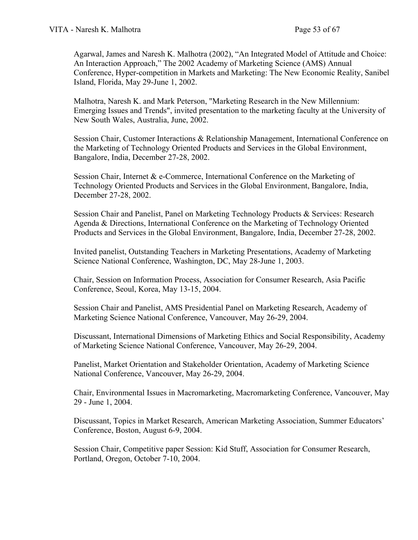Agarwal, James and Naresh K. Malhotra (2002), "An Integrated Model of Attitude and Choice: An Interaction Approach," The 2002 Academy of Marketing Science (AMS) Annual Conference, Hyper-competition in Markets and Marketing: The New Economic Reality, Sanibel Island, Florida, May 29-June 1, 2002.

Malhotra, Naresh K. and Mark Peterson, "Marketing Research in the New Millennium: Emerging Issues and Trends", invited presentation to the marketing faculty at the University of New South Wales, Australia, June, 2002.

Session Chair, Customer Interactions & Relationship Management, International Conference on the Marketing of Technology Oriented Products and Services in the Global Environment, Bangalore, India, December 27-28, 2002.

Session Chair, Internet & e-Commerce, International Conference on the Marketing of Technology Oriented Products and Services in the Global Environment, Bangalore, India, December 27-28, 2002.

Session Chair and Panelist, Panel on Marketing Technology Products & Services: Research Agenda & Directions, International Conference on the Marketing of Technology Oriented Products and Services in the Global Environment, Bangalore, India, December 27-28, 2002.

Invited panelist, Outstanding Teachers in Marketing Presentations, Academy of Marketing Science National Conference, Washington, DC, May 28-June 1, 2003.

Chair, Session on Information Process, Association for Consumer Research, Asia Pacific Conference, Seoul, Korea, May 13-15, 2004.

Session Chair and Panelist, AMS Presidential Panel on Marketing Research, Academy of Marketing Science National Conference, Vancouver, May 26-29, 2004.

Discussant, International Dimensions of Marketing Ethics and Social Responsibility, Academy of Marketing Science National Conference, Vancouver, May 26-29, 2004.

Panelist, Market Orientation and Stakeholder Orientation, Academy of Marketing Science National Conference, Vancouver, May 26-29, 2004.

Chair, Environmental Issues in Macromarketing, Macromarketing Conference, Vancouver, May 29 - June 1, 2004.

Discussant, Topics in Market Research, American Marketing Association, Summer Educators' Conference, Boston, August 6-9, 2004.

Session Chair, Competitive paper Session: Kid Stuff, Association for Consumer Research, Portland, Oregon, October 7-10, 2004.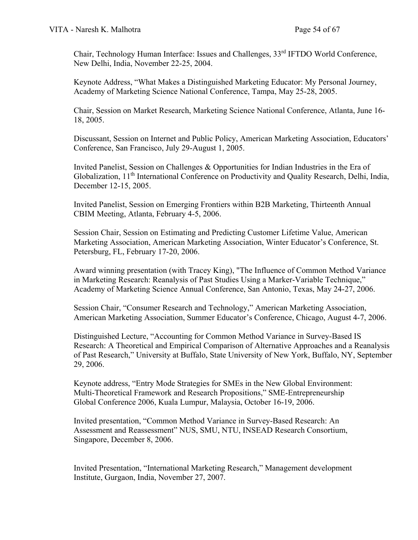Chair, Technology Human Interface: Issues and Challenges, 33rd IFTDO World Conference, New Delhi, India, November 22-25, 2004.

Keynote Address, "What Makes a Distinguished Marketing Educator: My Personal Journey, Academy of Marketing Science National Conference, Tampa, May 25-28, 2005.

Chair, Session on Market Research, Marketing Science National Conference, Atlanta, June 16- 18, 2005.

Discussant, Session on Internet and Public Policy, American Marketing Association, Educators' Conference, San Francisco, July 29-August 1, 2005.

Invited Panelist, Session on Challenges & Opportunities for Indian Industries in the Era of Globalization, 11<sup>th</sup> International Conference on Productivity and Quality Research, Delhi, India, December 12-15, 2005.

Invited Panelist, Session on Emerging Frontiers within B2B Marketing, Thirteenth Annual CBIM Meeting, Atlanta, February 4-5, 2006.

Session Chair, Session on Estimating and Predicting Customer Lifetime Value, American Marketing Association, American Marketing Association, Winter Educator's Conference, St. Petersburg, FL, February 17-20, 2006.

Award winning presentation (with Tracey King), "The Influence of Common Method Variance in Marketing Research: Reanalysis of Past Studies Using a Marker-Variable Technique," Academy of Marketing Science Annual Conference, San Antonio, Texas, May 24-27, 2006.

Session Chair, "Consumer Research and Technology," American Marketing Association, American Marketing Association, Summer Educator's Conference, Chicago, August 4-7, 2006.

Distinguished Lecture, "Accounting for Common Method Variance in Survey-Based IS Research: A Theoretical and Empirical Comparison of Alternative Approaches and a Reanalysis of Past Research," University at Buffalo, State University of New York, Buffalo, NY, September 29, 2006.

Keynote address, "Entry Mode Strategies for SMEs in the New Global Environment: Multi-Theoretical Framework and Research Propositions," SME-Entrepreneurship Global Conference 2006, Kuala Lumpur, Malaysia, October 16-19, 2006.

Invited presentation, "Common Method Variance in Survey-Based Research: An Assessment and Reassessment" NUS, SMU, NTU, INSEAD Research Consortium, Singapore, December 8, 2006.

Invited Presentation, "International Marketing Research," Management development Institute, Gurgaon, India, November 27, 2007.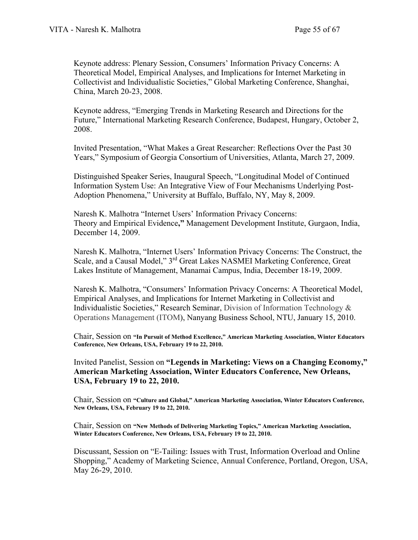Keynote address: Plenary Session, Consumers' Information Privacy Concerns: A Theoretical Model, Empirical Analyses, and Implications for Internet Marketing in Collectivist and Individualistic Societies," Global Marketing Conference, Shanghai, China, March 20-23, 2008.

Keynote address, "Emerging Trends in Marketing Research and Directions for the Future," International Marketing Research Conference, Budapest, Hungary, October 2, 2008.

Invited Presentation, "What Makes a Great Researcher: Reflections Over the Past 30 Years," Symposium of Georgia Consortium of Universities, Atlanta, March 27, 2009.

Distinguished Speaker Series, Inaugural Speech, "Longitudinal Model of Continued Information System Use: An Integrative View of Four Mechanisms Underlying Post-Adoption Phenomena," University at Buffalo, Buffalo, NY, May 8, 2009.

Naresh K. Malhotra "Internet Users' Information Privacy Concerns: Theory and Empirical Evidence**,"** Management Development Institute, Gurgaon, India, December 14, 2009.

Naresh K. Malhotra, "Internet Users' Information Privacy Concerns: The Construct, the Scale, and a Causal Model," 3<sup>rd</sup> Great Lakes NASMEI Marketing Conference, Great Lakes Institute of Management, Manamai Campus, India, December 18-19, 2009.

Naresh K. Malhotra, "Consumers' Information Privacy Concerns: A Theoretical Model, Empirical Analyses, and Implications for Internet Marketing in Collectivist and Individualistic Societies," Research Seminar, Division of Information Technology & Operations Management (ITOM), Nanyang Business School, NTU, January 15, 2010.

Chair, Session on **"In Pursuit of Method Excellence," American Marketing Association, Winter Educators Conference, New Orleans, USA, February 19 to 22, 2010.**

Invited Panelist, Session on **"Legends in Marketing: Views on a Changing Economy," American Marketing Association, Winter Educators Conference, New Orleans, USA, February 19 to 22, 2010.**

Chair, Session on **"Culture and Global," American Marketing Association, Winter Educators Conference, New Orleans, USA, February 19 to 22, 2010.**

Chair, Session on **"New Methods of Delivering Marketing Topics," American Marketing Association, Winter Educators Conference, New Orleans, USA, February 19 to 22, 2010.**

Discussant, Session on "E-Tailing: Issues with Trust, Information Overload and Online Shopping," Academy of Marketing Science, Annual Conference, Portland, Oregon, USA, May 26-29, 2010.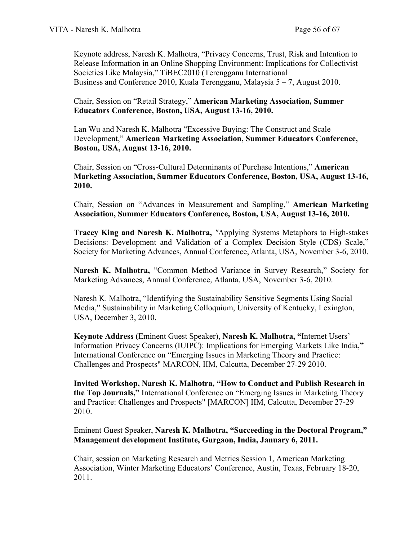Keynote address, Naresh K. Malhotra, "Privacy Concerns, Trust, Risk and Intention to Release Information in an Online Shopping Environment: Implications for Collectivist Societies Like Malaysia," TiBEC2010 (Terengganu International Business and Conference 2010, Kuala Terengganu, Malaysia 5 – 7, August 2010.

Chair, Session on "Retail Strategy," **American Marketing Association, Summer Educators Conference, Boston, USA, August 13-16, 2010.**

Lan Wu and Naresh K. Malhotra "Excessive Buying: The Construct and Scale Development," **American Marketing Association, Summer Educators Conference, Boston, USA, August 13-16, 2010.**

Chair, Session on "Cross-Cultural Determinants of Purchase Intentions," **American Marketing Association, Summer Educators Conference, Boston, USA, August 13-16, 2010.**

Chair, Session on "Advances in Measurement and Sampling," **American Marketing Association, Summer Educators Conference, Boston, USA, August 13-16, 2010.**

**Tracey King and Naresh K. Malhotra,** *"*Applying Systems Metaphors to High-stakes Decisions: Development and Validation of a Complex Decision Style (CDS) Scale," Society for Marketing Advances, Annual Conference, Atlanta, USA, November 3-6, 2010.

**Naresh K. Malhotra,** "Common Method Variance in Survey Research," Society for Marketing Advances, Annual Conference, Atlanta, USA, November 3-6, 2010.

Naresh K. Malhotra, "Identifying the Sustainability Sensitive Segments Using Social Media," Sustainability in Marketing Colloquium, University of Kentucky, Lexington, USA, December 3, 2010.

**Keynote Address (**Eminent Guest Speaker), **Naresh K. Malhotra, "**Internet Users' Information Privacy Concerns (IUIPC): Implications for Emerging Markets Like India,**"**  International Conference on "Emerging Issues in Marketing Theory and Practice: Challenges and Prospects" MARCON, IIM, Calcutta, December 27-29 2010.

**Invited Workshop, Naresh K. Malhotra, "How to Conduct and Publish Research in the Top Journals,"** International Conference on "Emerging Issues in Marketing Theory and Practice: Challenges and Prospects" [MARCON] IIM, Calcutta, December 27-29 2010.

Eminent Guest Speaker, **Naresh K. Malhotra, "Succeeding in the Doctoral Program," Management development Institute, Gurgaon, India, January 6, 2011.**

Chair, session on Marketing Research and Metrics Session 1, American Marketing Association, Winter Marketing Educators' Conference, Austin, Texas, February 18-20, 2011.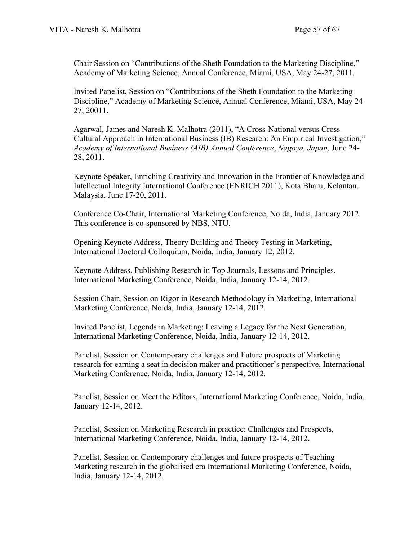Chair Session on "Contributions of the Sheth Foundation to the Marketing Discipline," Academy of Marketing Science, Annual Conference, Miami, USA, May 24-27, 2011.

Invited Panelist, Session on "Contributions of the Sheth Foundation to the Marketing Discipline," Academy of Marketing Science, Annual Conference, Miami, USA, May 24- 27, 20011.

Agarwal, James and Naresh K. Malhotra (2011), "A Cross-National versus Cross-Cultural Approach in International Business (IB) Research: An Empirical Investigation," *Academy of International Business (AIB) Annual Conference*, *Nagoya, Japan,* June 24- 28, 2011.

Keynote Speaker, Enriching Creativity and Innovation in the Frontier of Knowledge and Intellectual Integrity International Conference (ENRICH 2011), Kota Bharu, Kelantan, Malaysia, June 17-20, 2011.

Conference Co-Chair, International Marketing Conference, Noida, India, January 2012. This conference is co-sponsored by NBS, NTU.

Opening Keynote Address, Theory Building and Theory Testing in Marketing, International Doctoral Colloquium, Noida, India, January 12, 2012.

Keynote Address, Publishing Research in Top Journals, Lessons and Principles, International Marketing Conference, Noida, India, January 12-14, 2012.

Session Chair, Session on Rigor in Research Methodology in Marketing, International Marketing Conference, Noida, India, January 12-14, 2012.

Invited Panelist, Legends in Marketing: Leaving a Legacy for the Next Generation, International Marketing Conference, Noida, India, January 12-14, 2012.

Panelist, Session on Contemporary challenges and Future prospects of Marketing research for earning a seat in decision maker and practitioner's perspective, International Marketing Conference, Noida, India, January 12-14, 2012.

Panelist, Session on Meet the Editors, International Marketing Conference, Noida, India, January 12-14, 2012.

Panelist, Session on Marketing Research in practice: Challenges and Prospects, International Marketing Conference, Noida, India, January 12-14, 2012.

Panelist, Session on Contemporary challenges and future prospects of Teaching Marketing research in the globalised era International Marketing Conference, Noida, India, January 12-14, 2012.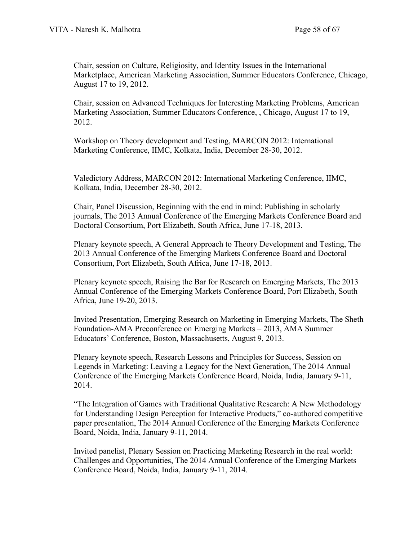Chair, session on Culture, Religiosity, and Identity Issues in the International Marketplace, American Marketing Association, Summer Educators Conference, Chicago, August 17 to 19, 2012.

Chair, session on Advanced Techniques for Interesting Marketing Problems, American Marketing Association, Summer Educators Conference, , Chicago, August 17 to 19, 2012.

Workshop on Theory development and Testing, MARCON 2012: International Marketing Conference, IIMC, Kolkata, India, December 28-30, 2012.

Valedictory Address, MARCON 2012: International Marketing Conference, IIMC, Kolkata, India, December 28-30, 2012.

Chair, Panel Discussion, Beginning with the end in mind: Publishing in scholarly journals, The 2013 Annual Conference of the Emerging Markets Conference Board and Doctoral Consortium, Port Elizabeth, South Africa, June 17-18, 2013.

Plenary keynote speech, A General Approach to Theory Development and Testing, The 2013 Annual Conference of the Emerging Markets Conference Board and Doctoral Consortium, Port Elizabeth, South Africa, June 17-18, 2013.

Plenary keynote speech, Raising the Bar for Research on Emerging Markets, The 2013 Annual Conference of the Emerging Markets Conference Board, Port Elizabeth, South Africa, June 19-20, 2013.

Invited Presentation, Emerging Research on Marketing in Emerging Markets, The Sheth Foundation-AMA Preconference on Emerging Markets – 2013, AMA Summer Educators' Conference, Boston, Massachusetts, August 9, 2013.

Plenary keynote speech, Research Lessons and Principles for Success, Session on Legends in Marketing: Leaving a Legacy for the Next Generation, The 2014 Annual Conference of the Emerging Markets Conference Board, Noida, India, January 9-11, 2014.

"The Integration of Games with Traditional Qualitative Research: A New Methodology for Understanding Design Perception for Interactive Products," co-authored competitive paper presentation, The 2014 Annual Conference of the Emerging Markets Conference Board, Noida, India, January 9-11, 2014.

Invited panelist, Plenary Session on Practicing Marketing Research in the real world: Challenges and Opportunities, The 2014 Annual Conference of the Emerging Markets Conference Board, Noida, India, January 9-11, 2014.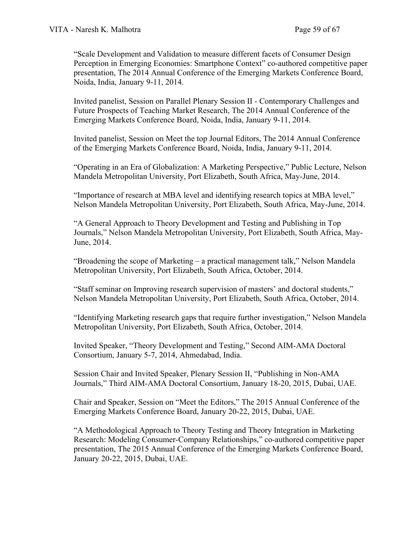"Scale Development and Validation to measure different facets of Consumer Design Perception in Emerging Economies: Smartphone Context" co-authored competitive paper presentation, The 2014 Annual Conference of the Emerging Markets Conference Board, Noida, India, January 9-11, 2014.

Invited panelist, Session on Parallel Plenary Session II - Contemporary Challenges and Future Prospects of Teaching Market Research, The 2014 Annual Conference of the Emerging Markets Conference Board, Noida, India, January 9-11, 2014.

Invited panelist, Session on Meet the top Journal Editors, The 2014 Annual Conference of the Emerging Markets Conference Board, Noida, India, January 9-11, 2014.

"Operating in an Era of Globalization: A Marketing Perspective," Public Lecture, Nelson Mandela Metropolitan University, Port Elizabeth, South Africa, May-June, 2014.

"Importance of research at MBA level and identifying research topics at MBA level," Nelson Mandela Metropolitan University, Port Elizabeth, South Africa, May-June, 2014.

"A General Approach to Theory Development and Testing and Publishing in Top Journals," Nelson Mandela Metropolitan University, Port Elizabeth, South Africa, May-June, 2014.

"Broadening the scope of Marketing – a practical management talk," Nelson Mandela Metropolitan University, Port Elizabeth, South Africa, October, 2014.

"Staff seminar on Improving research supervision of masters' and doctoral students," Nelson Mandela Metropolitan University, Port Elizabeth, South Africa, October, 2014.

"Identifying Marketing research gaps that require further investigation," Nelson Mandela Metropolitan University, Port Elizabeth, South Africa, October, 2014.

Invited Speaker, "Theory Development and Testing," Second AIM-AMA Doctoral Consortium, January 5-7, 2014, Ahmedabad, India.

Session Chair and Invited Speaker, Plenary Session II, "Publishing in Non-AMA Journals," Third AIM-AMA Doctoral Consortium, January 18-20, 2015, Dubai, UAE.

Chair and Speaker, Session on "Meet the Editors," The 2015 Annual Conference of the Emerging Markets Conference Board, January 20-22, 2015, Dubai, UAE.

"A Methodological Approach to Theory Testing and Theory Integration in Marketing Research: Modeling Consumer-Company Relationships," co-authored competitive paper presentation, The 2015 Annual Conference of the Emerging Markets Conference Board, January 20-22, 2015, Dubai, UAE.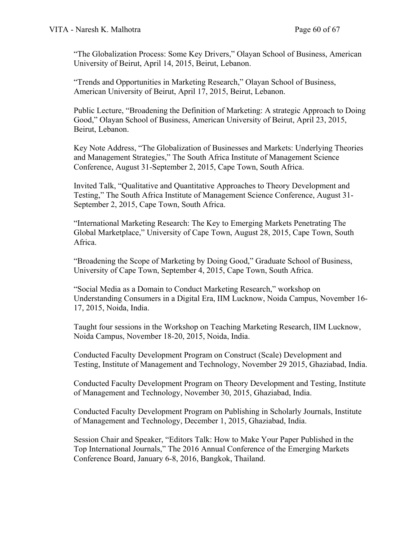"The Globalization Process: Some Key Drivers," Olayan School of Business, American University of Beirut, April 14, 2015, Beirut, Lebanon.

"Trends and Opportunities in Marketing Research," Olayan School of Business, American University of Beirut, April 17, 2015, Beirut, Lebanon.

Public Lecture, "Broadening the Definition of Marketing: A strategic Approach to Doing Good," Olayan School of Business, American University of Beirut, April 23, 2015, Beirut, Lebanon.

Key Note Address, "The Globalization of Businesses and Markets: Underlying Theories and Management Strategies," The South Africa Institute of Management Science Conference, August 31-September 2, 2015, Cape Town, South Africa.

Invited Talk, "Qualitative and Quantitative Approaches to Theory Development and Testing," The South Africa Institute of Management Science Conference, August 31- September 2, 2015, Cape Town, South Africa.

"International Marketing Research: The Key to Emerging Markets Penetrating The Global Marketplace," University of Cape Town, August 28, 2015, Cape Town, South Africa.

"Broadening the Scope of Marketing by Doing Good," Graduate School of Business, University of Cape Town, September 4, 2015, Cape Town, South Africa.

"Social Media as a Domain to Conduct Marketing Research," workshop on Understanding Consumers in a Digital Era, IIM Lucknow, Noida Campus, November 16- 17, 2015, Noida, India.

Taught four sessions in the Workshop on Teaching Marketing Research, IIM Lucknow, Noida Campus, November 18-20, 2015, Noida, India.

Conducted Faculty Development Program on Construct (Scale) Development and Testing, Institute of Management and Technology, November 29 2015, Ghaziabad, India.

Conducted Faculty Development Program on Theory Development and Testing, Institute of Management and Technology, November 30, 2015, Ghaziabad, India.

Conducted Faculty Development Program on Publishing in Scholarly Journals, Institute of Management and Technology, December 1, 2015, Ghaziabad, India.

Session Chair and Speaker, "Editors Talk: How to Make Your Paper Published in the Top International Journals," The 2016 Annual Conference of the Emerging Markets Conference Board, January 6-8, 2016, Bangkok, Thailand.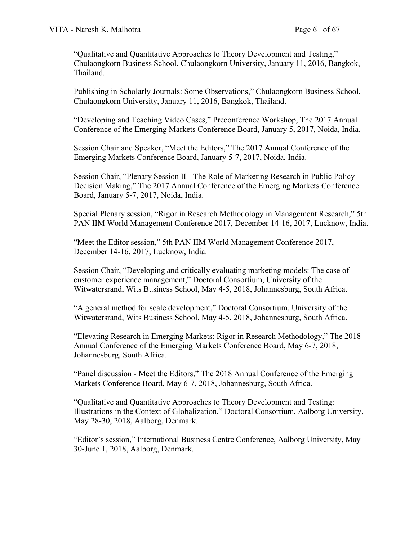"Qualitative and Quantitative Approaches to Theory Development and Testing," Chulaongkorn Business School, Chulaongkorn University, January 11, 2016, Bangkok, Thailand.

Publishing in Scholarly Journals: Some Observations," Chulaongkorn Business School, Chulaongkorn University, January 11, 2016, Bangkok, Thailand.

"Developing and Teaching Video Cases," Preconference Workshop, The 2017 Annual Conference of the Emerging Markets Conference Board, January 5, 2017, Noida, India.

Session Chair and Speaker, "Meet the Editors," The 2017 Annual Conference of the Emerging Markets Conference Board, January 5-7, 2017, Noida, India.

Session Chair, "Plenary Session II - The Role of Marketing Research in Public Policy Decision Making," The 2017 Annual Conference of the Emerging Markets Conference Board, January 5-7, 2017, Noida, India.

Special Plenary session, "Rigor in Research Methodology in Management Research," 5th PAN IIM World Management Conference 2017, December 14-16, 2017, Lucknow, India.

"Meet the Editor session," 5th PAN IIM World Management Conference 2017, December 14-16, 2017, Lucknow, India.

Session Chair, "Developing and critically evaluating marketing models: The case of customer experience management," Doctoral Consortium, University of the Witwatersrand, Wits Business School, May 4-5, 2018, Johannesburg, South Africa.

"A general method for scale development," Doctoral Consortium, University of the Witwatersrand, Wits Business School, May 4-5, 2018, Johannesburg, South Africa.

"Elevating Research in Emerging Markets: Rigor in Research Methodology," The 2018 Annual Conference of the Emerging Markets Conference Board, May 6-7, 2018, Johannesburg, South Africa.

"Panel discussion - Meet the Editors," The 2018 Annual Conference of the Emerging Markets Conference Board, May 6-7, 2018, Johannesburg, South Africa.

"Qualitative and Quantitative Approaches to Theory Development and Testing: Illustrations in the Context of Globalization," Doctoral Consortium, Aalborg University, May 28-30, 2018, Aalborg, Denmark.

"Editor's session," International Business Centre Conference, Aalborg University, May 30-June 1, 2018, Aalborg, Denmark.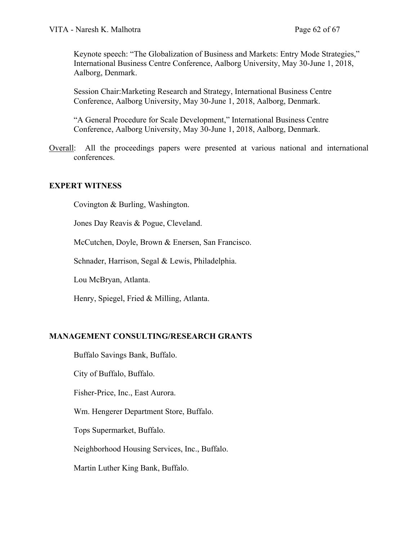Keynote speech: "The Globalization of Business and Markets: Entry Mode Strategies," International Business Centre Conference, Aalborg University, May 30-June 1, 2018, Aalborg, Denmark.

Session Chair:Marketing Research and Strategy, International Business Centre Conference, Aalborg University, May 30-June 1, 2018, Aalborg, Denmark.

"A General Procedure for Scale Development," International Business Centre Conference, Aalborg University, May 30-June 1, 2018, Aalborg, Denmark.

Overall: All the proceedings papers were presented at various national and international conferences.

## **EXPERT WITNESS**

Covington & Burling, Washington.

Jones Day Reavis & Pogue, Cleveland.

McCutchen, Doyle, Brown & Enersen, San Francisco.

Schnader, Harrison, Segal & Lewis, Philadelphia.

Lou McBryan, Atlanta.

Henry, Spiegel, Fried & Milling, Atlanta.

## **MANAGEMENT CONSULTING/RESEARCH GRANTS**

Buffalo Savings Bank, Buffalo.

City of Buffalo, Buffalo.

Fisher-Price, Inc., East Aurora.

Wm. Hengerer Department Store, Buffalo.

Tops Supermarket, Buffalo.

Neighborhood Housing Services, Inc., Buffalo.

Martin Luther King Bank, Buffalo.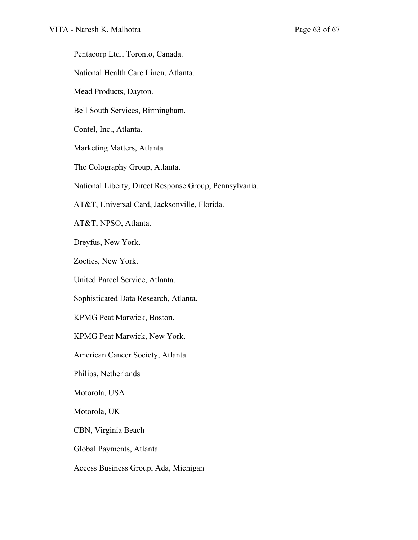Pentacorp Ltd., Toronto, Canada. National Health Care Linen, Atlanta. Mead Products, Dayton. Bell South Services, Birmingham. Contel, Inc., Atlanta. Marketing Matters, Atlanta. The Colography Group, Atlanta. National Liberty, Direct Response Group, Pennsylvania. AT&T, Universal Card, Jacksonville, Florida. AT&T, NPSO, Atlanta. Dreyfus, New York. Zoetics, New York. United Parcel Service, Atlanta. Sophisticated Data Research, Atlanta. KPMG Peat Marwick, Boston. KPMG Peat Marwick, New York. American Cancer Society, Atlanta Philips, Netherlands Motorola, USA Motorola, UK CBN, Virginia Beach Global Payments, Atlanta Access Business Group, Ada, Michigan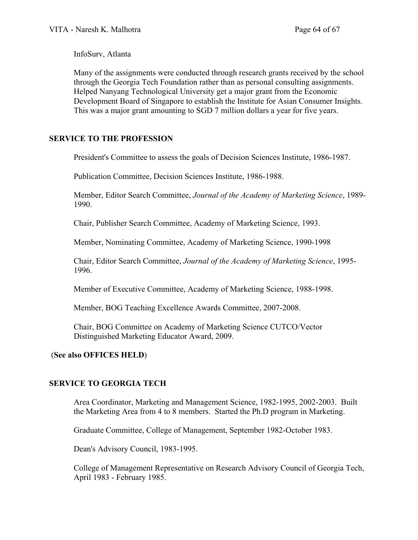InfoSurv, Atlanta

Many of the assignments were conducted through research grants received by the school through the Georgia Tech Foundation rather than as personal consulting assignments. Helped Nanyang Technological University get a major grant from the Economic Development Board of Singapore to establish the Institute for Asian Consumer Insights. This was a major grant amounting to SGD 7 million dollars a year for five years.

# **SERVICE TO THE PROFESSION**

President's Committee to assess the goals of Decision Sciences Institute, 1986-1987.

Publication Committee, Decision Sciences Institute, 1986-1988.

Member, Editor Search Committee, *Journal of the Academy of Marketing Science*, 1989- 1990.

Chair, Publisher Search Committee, Academy of Marketing Science, 1993.

Member, Nominating Committee, Academy of Marketing Science, 1990-1998

Chair, Editor Search Committee, *Journal of the Academy of Marketing Science*, 1995- 1996.

Member of Executive Committee, Academy of Marketing Science, 1988-1998.

Member, BOG Teaching Excellence Awards Committee, 2007-2008.

Chair, BOG Committee on Academy of Marketing Science CUTCO/Vector Distinguished Marketing Educator Award, 2009.

## (**See also OFFICES HELD**)

## **SERVICE TO GEORGIA TECH**

Area Coordinator, Marketing and Management Science, 1982-1995, 2002-2003. Built the Marketing Area from 4 to 8 members. Started the Ph.D program in Marketing.

Graduate Committee, College of Management, September 1982-October 1983.

Dean's Advisory Council, 1983-1995.

College of Management Representative on Research Advisory Council of Georgia Tech, April 1983 - February 1985.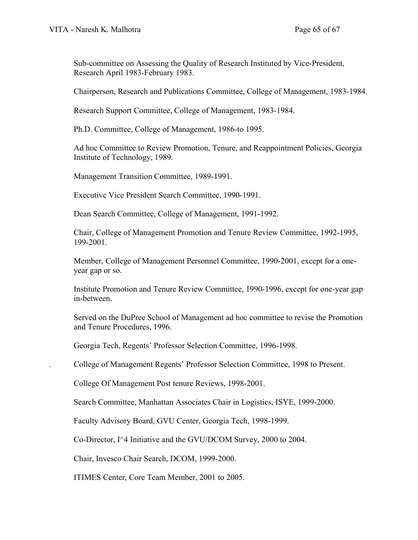Sub-committee on Assessing the Quality of Research Instituted by Vice-President, Research April 1983-February 1983.

Chairperson, Research and Publications Committee, College of Management, 1983-1984.

Research Support Committee, College of Management, 1983-1984.

Ph.D. Committee, College of Management, 1986-to 1995.

Ad hoc Committee to Review Promotion, Tenure, and Reappointment Policies, Georgia Institute of Technology, 1989.

Management Transition Committee, 1989-1991.

Executive Vice President Search Committee, 1990-1991.

Dean Search Committee, College of Management, 1991-1992.

Chair, College of Management Promotion and Tenure Review Committee, 1992-1995, 199-2001.

Member, College of Management Personnel Committee, 1990-2001, except for a oneyear gap or so.

Institute Promotion and Tenure Review Committee, 1990-1996, except for one-year gap in-between.

Served on the DuPree School of Management ad hoc committee to revise the Promotion and Tenure Procedures, 1996.

Georgia Tech, Regents' Professor Selection Committee, 1996-1998.

. College of Management Regents' Professor Selection Committee, 1998 to Present.

College Of Management Post tenure Reviews, 1998-2001.

Search Committee, Manhattan Associates Chair in Logistics, ISYE, 1999-2000.

Faculty Advisory Board, GVU Center, Georgia Tech, 1998-1999.

Co-Director, I^4 Initiative and the GVU/DCOM Survey, 2000 to 2004.

Chair, Invesco Chair Search, DCOM, 1999-2000.

ITIMES Center, Core Team Member, 2001 to 2005.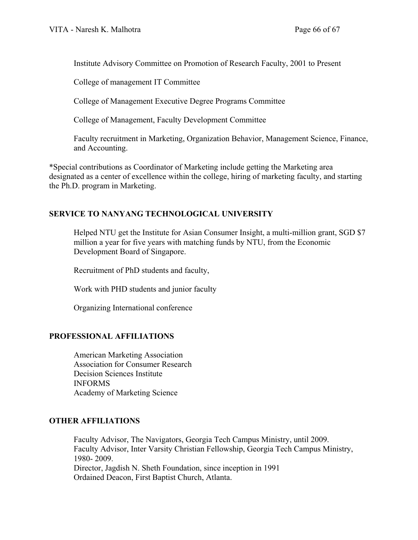Institute Advisory Committee on Promotion of Research Faculty, 2001 to Present

College of management IT Committee

College of Management Executive Degree Programs Committee

College of Management, Faculty Development Committee

Faculty recruitment in Marketing, Organization Behavior, Management Science, Finance, and Accounting.

\*Special contributions as Coordinator of Marketing include getting the Marketing area designated as a center of excellence within the college, hiring of marketing faculty, and starting the Ph.D. program in Marketing.

## **SERVICE TO NANYANG TECHNOLOGICAL UNIVERSITY**

Helped NTU get the Institute for Asian Consumer Insight, a multi-million grant, SGD \$7 million a year for five years with matching funds by NTU, from the Economic Development Board of Singapore.

Recruitment of PhD students and faculty,

Work with PHD students and junior faculty

Organizing International conference

## **PROFESSIONAL AFFILIATIONS**

American Marketing Association Association for Consumer Research Decision Sciences Institute INFORMS Academy of Marketing Science

## **OTHER AFFILIATIONS**

Faculty Advisor, The Navigators, Georgia Tech Campus Ministry, until 2009. Faculty Advisor, Inter Varsity Christian Fellowship, Georgia Tech Campus Ministry, 1980- 2009. Director, Jagdish N. Sheth Foundation, since inception in 1991 Ordained Deacon, First Baptist Church, Atlanta.